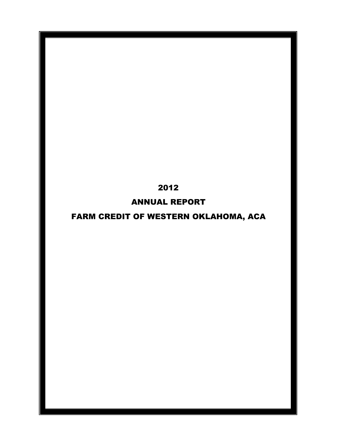# 2012

# ANNUAL REPORT

# FARM CREDIT OF WESTERN OKLAHOMA, ACA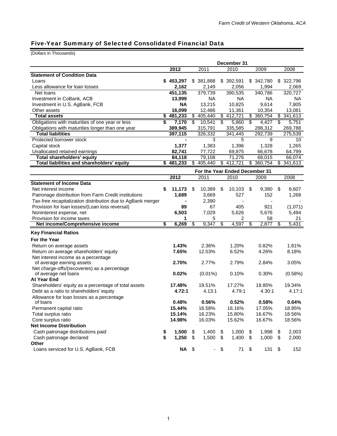$\equiv$ 

# Five-Year Summary of Selected Consolidated Financial Data

(Dollars in Thousands)

|                                                             | December 31 |                  |    |                                |    |                  |               |                  |          |                  |
|-------------------------------------------------------------|-------------|------------------|----|--------------------------------|----|------------------|---------------|------------------|----------|------------------|
|                                                             |             | 2012             |    | 2011                           |    | 2010             |               | 2009             |          | 2008             |
| <b>Statement of Condition Data</b>                          |             |                  |    |                                |    |                  |               |                  |          |                  |
| Loans                                                       | S           | 453,297          | \$ | 381,888                        |    | \$392,591        |               | \$342,780        |          | \$322,796        |
| Less allowance for loan losses                              |             | 2,162            |    | 2,149                          |    | 2,056            |               | 1,994            |          | 2,069            |
| Net loans                                                   |             | 451,135          |    | 379,739                        |    | 390,535          |               | 340,786          |          | 320,727          |
| Investment in CoBank, ACB                                   |             | 13,999           |    | NA                             |    | <b>NA</b>        |               | <b>NA</b>        |          | <b>NA</b>        |
| Investment in U.S. AgBank, FCB                              |             | ΝA               |    | 13,215                         |    | 10,825           |               | 9,614            |          | 7,805            |
| Other assets                                                |             | 16,099           |    | 12,486                         |    | 11,361           |               | 10,354           |          | 13,081           |
| <b>Total assets</b>                                         |             | \$481,233        |    | \$405,440                      | \$ | 412,721          |               | \$360,754        |          | \$341,613        |
| Obligations with maturities of one year or less             | \$          | 7,170            | S  | 10,541                         | \$ | 5,860            | \$            | 4,427            | \$       | 5,751            |
| Obligations with maturities longer than one year            |             | 389,945          |    | 315,791                        |    | 335,585          |               | 288,312          |          | 269,788          |
| <b>Total liabilities</b>                                    |             | 397,115          |    | 326,332                        |    | 341,445          |               | 292,739          |          | 275,539          |
| Protected borrower stock                                    |             |                  |    | 3                              |    | 5                |               | 9                |          | 10               |
| Capital stock                                               |             | 1,377            |    | 1,383                          |    | 1,396            |               | 1,328            |          | 1,265            |
| Unallocated retained earnings                               |             | 82,741           |    | 77,722                         |    | 69,875           |               | 66,678           |          | 64,799           |
| <b>Total shareholders' equity</b>                           |             | 84,118           |    | 79,108                         |    | 71,276           |               | 68,015           |          | 66.074           |
| Total liabilities and shareholders' equity                  |             | \$481,233        |    | \$405,440                      |    | \$412,721        |               | \$360,754        |          | \$341,613        |
|                                                             |             |                  |    | For the Year Ended December 31 |    |                  |               |                  |          |                  |
|                                                             |             | 2012             |    | 2011                           |    | 2010             |               | 2009             |          | 2008             |
| <b>Statement of Income Data</b>                             |             |                  |    |                                |    |                  |               |                  |          |                  |
| Net interest income                                         | \$          | 11,173           | \$ | 10,389                         | \$ | 10,103           | \$            | 9,380            | -\$      | 8.607            |
| Patronage distribution from Farm Credit institutions        |             | 1,689            |    | 3,669                          |    | 527              |               | 152              |          | 1,268            |
| Tax-free recapitalization distribution due to AgBank merger |             |                  |    | 2,390                          |    |                  |               |                  |          |                  |
| Provision for loan losses/(Loan loss reversal)              |             | 89               |    | 67                             |    | 405              |               | 921              |          | (1,071)          |
| Noninterest expense, net                                    |             | 6,503            |    | 7,029                          |    | 5.626            |               | 5,676            |          | 5,494            |
| Provision for income taxes                                  |             | 1                |    | 5                              |    | 2                |               | 58               |          | 21               |
| Net income/Comprehensive income                             | \$          | 6,269            | \$ | 9,347                          | \$ | 4,597            | \$            | 2,877            | \$       | 5,431            |
| <b>Key Financial Ratios</b>                                 |             |                  |    |                                |    |                  |               |                  |          |                  |
| For the Year                                                |             |                  |    |                                |    |                  |               |                  |          |                  |
| Return on average assets                                    |             | 1.43%            |    | 2.36%                          |    | 1.20%            |               | 0.82%            |          | 1.81%            |
| Return on average shareholders' equity                      |             | 7.65%            |    | 12.53%                         |    | 6.52%            |               | 4.26%            |          | 8.18%            |
| Net interest income as a percentage                         |             |                  |    |                                |    |                  |               |                  |          |                  |
| of average earning assets                                   |             | 2.70%            |    | 2.77%                          |    | 2.79%            |               | 2.84%            |          | 3.05%            |
| Net charge-offs/(recoveries) as a percentage                |             |                  |    |                                |    |                  |               |                  |          |                  |
| of average net loans                                        |             | 0.02%            |    | $(0.01\%)$                     |    | 0.10%            |               | 0.30%            |          | (0.58%)          |
| <b>At Year End</b>                                          |             |                  |    |                                |    |                  |               |                  |          |                  |
| Shareholders' equity as a percentage of total assets        |             | 17.48%           |    | 19.51%                         |    | 17.27%           |               | 18.85%           |          | 19.34%           |
| Debt as a ratio to shareholders' equity                     |             | 4.72:1           |    | 4.13:1                         |    | 4.79:1           |               | 4.30:1           |          | 4.17:1           |
| Allowance for loan losses as a percentage                   |             | 0.48%            |    | 0.56%                          |    | 0.52%            |               | 0.58%            |          | 0.64%            |
| of loans<br>Permanent capital ratio                         |             |                  |    |                                |    |                  |               |                  |          |                  |
| Total surplus ratio                                         |             | 15.44%<br>15.14% |    | 16.58%<br>16.23%               |    | 16.16%<br>15.80% |               | 17.05%<br>16.67% |          | 18.95%<br>18.56% |
| Core surplus ratio                                          |             | 14.98%           |    | 16.03%                         |    |                  |               |                  |          | 18.56%           |
| <b>Net Income Distribution</b>                              |             |                  |    |                                |    | 15.62%           |               | 16.67%           |          |                  |
|                                                             |             |                  |    |                                |    |                  |               | 1,998            |          |                  |
| Cash patronage distributions paid                           | \$<br>\$    | 1,500<br>1,250   | \$ | 1,400<br>1,500                 | \$ | 1,000            | \$<br>\$      |                  | \$<br>\$ | 2,003            |
| Cash patronage declared<br>Other                            |             |                  | \$ |                                | \$ | 1,400            |               | 1,000            |          | 2,000            |
| Loans serviced for U.S. AgBank, FCB                         |             | <b>NA \$</b>     |    | $\overline{\phantom{a}}$       | \$ | 71               | $\sqrt[6]{3}$ | 131              | \$       | 152              |
|                                                             |             |                  |    |                                |    |                  |               |                  |          |                  |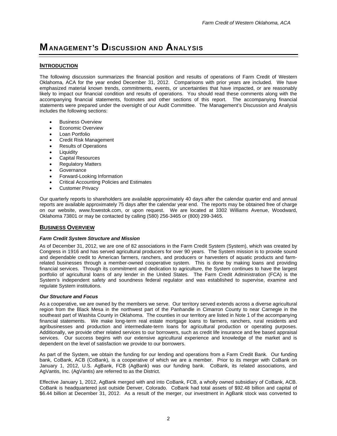# **MANAGEMENT'S DISCUSSION AND ANALYSIS**

# **INTRODUCTION**

The following discussion summarizes the financial position and results of operations of Farm Credit of Western Oklahoma, ACA for the year ended December 31, 2012. Comparisons with prior years are included. We have emphasized material known trends, commitments, events, or uncertainties that have impacted, or are reasonably likely to impact our financial condition and results of operations. You should read these comments along with the accompanying financial statements, footnotes and other sections of this report. The accompanying financial statements were prepared under the oversight of our Audit Committee. The Management's Discussion and Analysis includes the following sections:

- **•** Business Overview
- Economic Overview
- Loan Portfolio
- Credit Risk Management
- Results of Operations
- **•** Liquidity
- Capital Resources
- Regulatory Matters
- **Governance**
- Forward-Looking Information
- Critical Accounting Policies and Estimates
- Customer Privacy

Our quarterly reports to shareholders are available approximately 40 days after the calendar quarter end and annual reports are available approximately 75 days after the calendar year end. The reports may be obtained free of charge on our website, www.fcwestok.com, or upon request. We are located at 3302 Williams Avenue, Woodward, Oklahoma 73801 or may be contacted by calling (580) 256-3465 or (800) 299-3465.

## **BUSINESS OVERVIEW**

### *Farm Credit System Structure and Mission*

As of December 31, 2012, we are one of 82 associations in the Farm Credit System (System), which was created by Congress in 1916 and has served agricultural producers for over 90 years. The System mission is to provide sound and dependable credit to American farmers, ranchers, and producers or harvesters of aquatic products and farmrelated businesses through a member-owned cooperative system. This is done by making loans and providing financial services. Through its commitment and dedication to agriculture, the System continues to have the largest portfolio of agricultural loans of any lender in the United States. The Farm Credit Administration (FCA) is the System's independent safety and soundness federal regulator and was established to supervise, examine and regulate System institutions.

### *Our Structure and Focus*

As a cooperative, we are owned by the members we serve. Our territory served extends across a diverse agricultural region from the Black Mesa in the northwest part of the Panhandle in Cimarron County to near Carnegie in the southeast part of Washita County in Oklahoma. The counties in our territory are listed in Note 1 of the accompanying financial statements. We make long-term real estate mortgage loans to farmers, ranchers, rural residents and agribusinesses and production and intermediate-term loans for agricultural production or operating purposes. Additionally, we provide other related services to our borrowers, such as credit life insurance and fee based appraisal services. Our success begins with our extensive agricultural experience and knowledge of the market and is dependent on the level of satisfaction we provide to our borrowers.

As part of the System, we obtain the funding for our lending and operations from a Farm Credit Bank. Our funding bank, CoBank, ACB (CoBank), is a cooperative of which we are a member. Prior to its merger with CoBank on January 1, 2012, U.S. AgBank, FCB (AgBank) was our funding bank. CoBank, its related associations, and AgVantis, Inc. (AgVantis) are referred to as the District.

Effective January 1, 2012, AgBank merged with and into CoBank, FCB, a wholly owned subsidiary of CoBank, ACB. CoBank is headquartered just outside Denver, Colorado. CoBank had total assets of \$92.48 billion and capital of \$6.44 billion at December 31, 2012. As a result of the merger, our investment in AgBank stock was converted to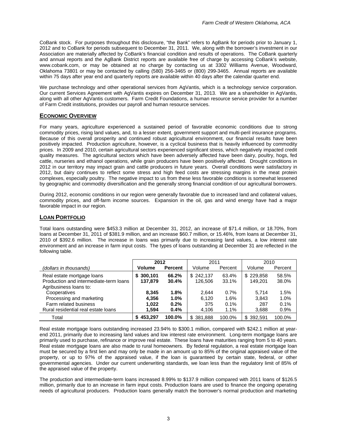CoBank stock. For purposes throughout this disclosure, "the Bank" refers to AgBank for periods prior to January 1, 2012 and to CoBank for periods subsequent to December 31, 2011. We, along with the borrower's investment in our Association are materially affected by CoBank's financial condition and results of operations. The CoBank quarterly and annual reports and the AgBank District reports are available free of charge by accessing CoBank's website, www.cobank.com, or may be obtained at no charge by contacting us at 3302 Williams Avenue, Woodward, Oklahoma 73801 or may be contacted by calling (580) 256-3465 or (800) 299-3465. Annual reports are available within 75 days after year end and quarterly reports are available within 40 days after the calendar quarter end.

We purchase technology and other operational services from AgVantis, which is a technology service corporation. Our current Services Agreement with AgVantis expires on December 31, 2013. We are a shareholder in AgVantis, along with all other AgVantis customers. Farm Credit Foundations, a human resource service provider for a number of Farm Credit institutions, provides our payroll and human resource services.

# **ECONOMIC OVERVIEW**

For many years, agriculture experienced a sustained period of favorable economic conditions due to strong commodity prices, rising land values, and, to a lesser extent, government support and multi-peril insurance programs. Because of this overall prosperity and continued robust agricultural environment, our financial results have been positively impacted. Production agriculture, however, is a cyclical business that is heavily influenced by commodity prices. In 2009 and 2010, certain agricultural sectors experienced significant stress, which negatively impacted credit quality measures. The agricultural sectors which have been adversely affected have been dairy, poultry, hogs, fed cattle, nurseries and ethanol operations, while grain producers have been positively affected.Drought conditions in 2012 in our territory may impact grain and cattle producers in future years. Overall conditions were satisfactory in 2012, but dairy continues to reflect some stress and high feed costs are stressing margins in the meat protein complexes, especially poultry. The negative impact to us from these less favorable conditions is somewhat lessened by geographic and commodity diversification and the generally strong financial condition of our agricultural borrowers.

During 2012, economic conditions in our region were generally favorable due to increased land and collateral values, commodity prices, and off-farm income sources. Expansion in the oil, gas and wind energy have had a major favorable impact in our region.

# **LOAN PORTFOLIO**

Total loans outstanding were \$453.3 million at December 31, 2012, an increase of \$71.4 million, or 18.70%, from loans at December 31, 2011 of \$381.9 million, and an increase \$60.7 million, or 15.46%, from loans at December 31, 2010 of \$392.6 million. The increase in loans was primarily due to increasing land values, a low interest rate environment and an increase in farm input costs. The types of loans outstanding at December 31 are reflected in the following table.

|                                        | 2012      |                | 2011      |         | 2010      |         |
|----------------------------------------|-----------|----------------|-----------|---------|-----------|---------|
| (dollars in thousands)                 | Volume    | <b>Percent</b> | Volume    | Percent | Volume    | Percent |
| Real estate mortgage loans             | \$300,101 | 66.2%          | \$242,137 | 63.4%   | \$229,858 | 58.5%   |
| Production and intermediate-term loans | 137,879   | 30.4%          | 126,506   | 33.1%   | 149.201   | 38.0%   |
| Agribusiness loans to:                 |           |                |           |         |           |         |
| Cooperatives                           | 8,345     | 1.8%           | 2.644     | 0.7%    | 5.714     | 1.5%    |
| Processing and marketing               | 4,356     | $1.0\%$        | 6.120     | 1.6%    | 3.843     | 1.0%    |
| Farm related business                  | 1.022     | $0.2\%$        | 375       | $0.1\%$ | 287       | 0.1%    |
| Rural residential real estate loans    | 1,594     | $0.4\%$        | 4,106     | 1.1%    | 3,688     | 0.9%    |
| Total                                  | 453.297   | 100.0%         | \$381.888 | 100.0%  | \$392,591 | 100.0%  |

Real estate mortgage loans outstanding increased 23.94% to \$300.1 million, compared with \$242.1 million at yearend 2011, primarily due to increasing land values and low interest rate environment. Long-term mortgage loans are primarily used to purchase, refinance or improve real estate. These loans have maturities ranging from 5 to 40 years. Real estate mortgage loans are also made to rural homeowners. By federal regulation, a real estate mortgage loan must be secured by a first lien and may only be made in an amount up to 85% of the original appraised value of the property, or up to 97% of the appraised value, if the loan is guaranteed by certain state, federal, or other governmental agencies. Under our current underwriting standards, we loan less than the regulatory limit of 85% of the appraised value of the property.

The production and intermediate-term loans increased 8.99% to \$137.9 million compared with 2011 loans of \$126.5 million, primarily due to an increase in farm input costs. Production loans are used to finance the ongoing operating needs of agricultural producers. Production loans generally match the borrower's normal production and marketing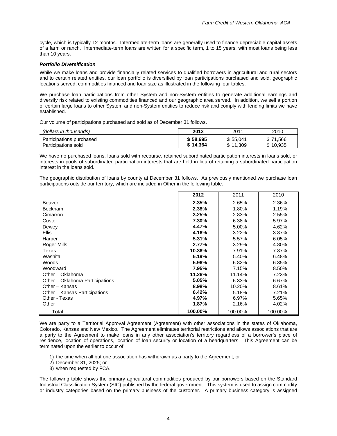cycle, which is typically 12 months. Intermediate-term loans are generally used to finance depreciable capital assets of a farm or ranch. Intermediate-term loans are written for a specific term, 1 to 15 years, with most loans being less than 10 years.

#### *Portfolio Diversification*

While we make loans and provide financially related services to qualified borrowers in agricultural and rural sectors and to certain related entities, our loan portfolio is diversified by loan participations purchased and sold, geographic locations served, commodities financed and loan size as illustrated in the following four tables.

We purchase loan participations from other System and non-System entities to generate additional earnings and diversify risk related to existing commodities financed and our geographic area served. In addition, we sell a portion of certain large loans to other System and non-System entities to reduce risk and comply with lending limits we have established.

Our volume of participations purchased and sold as of December 31 follows.

| (dollars in thousands)   | 2012     | 2011     | 2010     |
|--------------------------|----------|----------|----------|
| Participations purchased | \$58,695 | \$55.041 | \$71,566 |
| Participations sold      | \$14.364 | \$11.309 | \$10.935 |

We have no purchased loans, loans sold with recourse, retained subordinated participation interests in loans sold, or interests in pools of subordinated participation interests that are held in lieu of retaining a subordinated participation interest in the loans sold.

The geographic distribution of loans by county at December 31 follows. As previously mentioned we purchase loan participations outside our territory, which are included in Other in the following table.

|                                 | 2012    | 2011    | 2010    |
|---------------------------------|---------|---------|---------|
| Beaver                          | 2.35%   | 2.65%   | 2.36%   |
| <b>Beckham</b>                  | 2.38%   | 1.80%   | 1.19%   |
| Cimarron                        | 3.25%   | 2.83%   | 2.55%   |
| Custer                          | 7.30%   | 6.38%   | 5.97%   |
| Dewey                           | 4.47%   | 5.00%   | 4.62%   |
| Ellis                           | 4.16%   | 3.22%   | 3.87%   |
| Harper                          | 5.31%   | 5.57%   | 6.05%   |
| Roger Mills                     | 2.77%   | 3.29%   | 4.80%   |
| Texas                           | 10.36%  | 7.91%   | 7.87%   |
| Washita                         | 5.19%   | 5.40%   | 6.48%   |
| Woods                           | 5.96%   | 6.82%   | 6.35%   |
| Woodward                        | 7.95%   | 7.15%   | 8.50%   |
| Other - Oklahoma                | 11.26%  | 11.14%  | 7.23%   |
| Other – Oklahoma Participations | 5.05%   | 6.33%   | 6.67%   |
| Other - Kansas                  | 8.98%   | 10.20%  | 8.61%   |
| Other – Kansas Participations   | 6.42%   | 5.18%   | 7.21%   |
| Other - Texas                   | 4.97%   | 6.97%   | 5.65%   |
| Other                           | 1.87%   | 2.16%   | 4.02%   |
| Total                           | 100.00% | 100.00% | 100.00% |

We are party to a Territorial Approval Agreement (Agreement) with other associations in the states of Oklahoma, Colorado, Kansas and New Mexico. The Agreement eliminates territorial restrictions and allows associations that are a party to the Agreement to make loans in any other association's territory regardless of a borrower's place of residence, location of operations, location of loan security or location of a headquarters. This Agreement can be terminated upon the earlier to occur of:

- 1) the time when all but one association has withdrawn as a party to the Agreement; or
- 2) December 31, 2025; or
- 3) when requested by FCA.

The following table shows the primary agricultural commodities produced by our borrowers based on the Standard Industrial Classification System (SIC) published by the federal government. This system is used to assign commodity or industry categories based on the primary business of the customer. A primary business category is assigned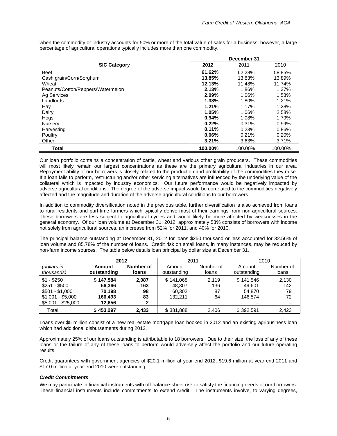when the commodity or industry accounts for 50% or more of the total value of sales for a business; however, a large percentage of agricultural operations typically includes more than one commodity.

|                                   | December 31 |         |         |  |
|-----------------------------------|-------------|---------|---------|--|
| <b>SIC Category</b>               | 2012        | 2011    | 2010    |  |
| <b>Beef</b>                       | 61.62%      | 62.28%  | 58.85%  |  |
| Cash grain/Corn/Sorghum           | 13.85%      | 13.83%  | 13.89%  |  |
| Wheat                             | 12.13%      | 11.48%  | 11.74%  |  |
| Peanuts/Cotton/Peppers/Watermelon | 2.13%       | 1.86%   | 1.37%   |  |
| Ag Services                       | 2.09%       | 1.06%   | 1.53%   |  |
| Landlords                         | 1.38%       | 1.80%   | 1.21%   |  |
| Hay                               | 1.21%       | 1.17%   | 1.28%   |  |
| Dairy                             | 1.05%       | 1.06%   | 2.58%   |  |
| Hogs                              | 0.94%       | 1.08%   | 1.79%   |  |
| Nursery                           | 0.22%       | 0.31%   | 0.99%   |  |
| Harvesting                        | 0.11%       | 0.23%   | 0.86%   |  |
| Poultry                           | $0.06\%$    | 0.21%   | 0.20%   |  |
| Other                             | 3.21%       | 3.63%   | 3.71%   |  |
| <b>Total</b>                      | 100.00%     | 100.00% | 100.00% |  |

Our loan portfolio contains a concentration of cattle, wheat and various other grain producers. These commodities will most likely remain our largest concentrations as these are the primary agricultural industries in our area. Repayment ability of our borrowers is closely related to the production and profitability of the commodities they raise. If a loan fails to perform, restructuring and/or other servicing alternatives are influenced by the underlying value of the collateral which is impacted by industry economics. Our future performance would be negatively impacted by adverse agricultural conditions. The degree of the adverse impact would be correlated to the commodities negatively affected and the magnitude and duration of the adverse agricultural conditions to our borrowers.

In addition to commodity diversification noted in the previous table, further diversification is also achieved from loans to rural residents and part-time farmers which typically derive most of their earnings from non-agricultural sources. These borrowers are less subject to agricultural cycles and would likely be more affected by weaknesses in the general economy. Of our loan volume at December 31, 2012, approximately 53% consists of borrowers with income not solely from agricultural sources, an increase from 52% for 2011, and 40% for 2010.

The principal balance outstanding at December 31, 2012 for loans \$250 thousand or less accounted for 32.56% of loan volume and 85.78% of the number of loans. Credit risk on small loans, in many instances, may be reduced by non-farm income sources. The table below details loan principal by dollar size at December 31.

|                    | 2012        |              | 2011        |           | 2010        |           |
|--------------------|-------------|--------------|-------------|-----------|-------------|-----------|
| (dollars in        | Amount      | Number of    | Amount      | Number of | Amount      | Number of |
| thousands)         | outstanding | <b>loans</b> | outstanding | loans     | outstanding | loans     |
| $$1 - $250$        | \$147.584   | 2.087        | \$141.068   | 2,119     | \$141.546   | 2,130     |
| $$251 - $500$      | 56.366      | 163          | 48.307      | 136       | 49.601      | 142       |
| $$501 - $1,000$    | 70.198      | 98           | 60.302      | 87        | 54.870      | 79        |
| $$1,001 - $5,000$  | 166.493     | 83           | 132.211     | 64        | 146.574     | 72        |
| $$5,001 - $25,000$ | 12,656      | 2            |             | -         |             |           |
| Total              | \$453.297   | 2,433        | \$381,888   | 2,406     | \$392,591   | 2,423     |

Loans over \$5 million consist of a new real estate mortgage loan booked in 2012 and an existing agribusiness loan which had additional disbursements during 2012.

Approximately 25% of our loans outstanding is attributable to 18 borrowers. Due to their size, the loss of any of these loans or the failure of any of these loans to perform would adversely affect the portfolio and our future operating results.

Credit guarantees with government agencies of \$20.1 million at year-end 2012, \$19.6 million at year-end 2011 and \$17.0 million at year-end 2010 were outstanding.

## *Credit Commitments*

We may participate in financial instruments with off-balance-sheet risk to satisfy the financing needs of our borrowers. These financial instruments include commitments to extend credit. The instruments involve, to varying degrees,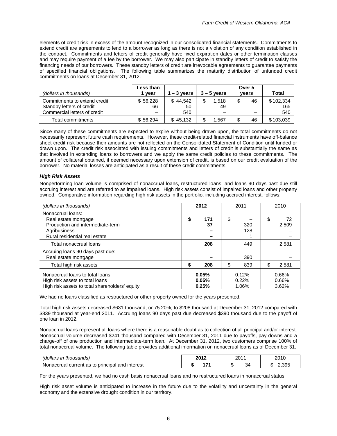elements of credit risk in excess of the amount recognized in our consolidated financial statements. Commitments to extend credit are agreements to lend to a borrower as long as there is not a violation of any condition established in the contract. Commitments and letters of credit generally have fixed expiration dates or other termination clauses and may require payment of a fee by the borrower. We may also participate in standby letters of credit to satisfy the financing needs of our borrowers. These standby letters of credit are irrevocable agreements to guarantee payments of specified financial obligations. The following table summarizes the maturity distribution of unfunded credit commitments on loans at December 31, 2012.

| (dollars in thousands)                                                                    | Less than<br>vear   | $1 - 3$ years         | $3 - 5$ vears          | Over 5<br>vears    | Total                   |
|-------------------------------------------------------------------------------------------|---------------------|-----------------------|------------------------|--------------------|-------------------------|
| Commitments to extend credit<br>Standby letters of credit<br>Commercial letters of credit | \$56,228<br>66<br>- | \$44.542<br>50<br>540 | \$<br>1.518<br>49<br>- | \$<br>46<br>-<br>- | \$102,334<br>165<br>540 |
| Total commitments                                                                         | \$56,294            | \$45.132              | \$<br>.567             | \$<br>46           | \$103,039               |

Since many of these commitments are expected to expire without being drawn upon, the total commitments do not necessarily represent future cash requirements. However, these credit-related financial instruments have off-balance sheet credit risk because their amounts are not reflected on the Consolidated Statement of Condition until funded or drawn upon. The credit risk associated with issuing commitments and letters of credit is substantially the same as that involved in extending loans to borrowers and we apply the same credit policies to these commitments. The amount of collateral obtained, if deemed necessary upon extension of credit, is based on our credit evaluation of the borrower. No material losses are anticipated as a result of these credit commitments.

### *High Risk Assets*

Nonperforming loan volume is comprised of nonaccrual loans, restructured loans, and loans 90 days past due still accruing interest and are referred to as impaired loans. High risk assets consist of impaired loans and other property owned. Comparative information regarding high risk assets in the portfolio, including accrued interest, follows:

| (dollars in thousands)                                                                                                         | 2012                    |           | 2011                    |            |                         | 2010        |
|--------------------------------------------------------------------------------------------------------------------------------|-------------------------|-----------|-------------------------|------------|-------------------------|-------------|
| Nonaccrual loans:<br>Real estate mortgage<br>Production and intermediate-term<br>Agribusiness<br>Rural residential real estate | \$                      | 171<br>37 | \$                      | 320<br>128 | \$                      | 72<br>2,509 |
| Total nonaccrual loans                                                                                                         |                         | 208       |                         | 449        |                         | 2,581       |
| Accruing loans 90 days past due:<br>Real estate mortgage                                                                       |                         |           |                         | 390        |                         |             |
| Total high risk assets                                                                                                         |                         | 208       | \$                      | 839        | \$                      | 2,581       |
| Nonaccrual loans to total loans<br>High risk assets to total loans<br>High risk assets to total shareholders' equity           | 0.05%<br>0.05%<br>0.25% |           | 0.12%<br>0.22%<br>1.06% |            | 0.66%<br>0.66%<br>3.62% |             |

We had no loans classified as restructured or other property owned for the years presented.

Total high risk assets decreased \$631 thousand, or 75.20%, to \$208 thousand at December 31, 2012 compared with \$839 thousand at year-end 2011. Accruing loans 90 days past due decreased \$390 thousand due to the payoff of one loan in 2012.

Nonaccrual loans represent all loans where there is a reasonable doubt as to collection of all principal and/or interest. Nonaccrual volume decreased \$241 thousand compared with December 31, 2011 due to payoffs, pay downs and a charge-off of one production and intermediate-term loan. At December 31, 2012, two customers comprise 100% of total nonaccrual volume.The following table provides additional information on nonaccrual loans as of December 31.

| (dollars in                                           | 2012   | 001. | 2010 |  |
|-------------------------------------------------------|--------|------|------|--|
| thousands.                                            | 2U I Z | ∠∪   |      |  |
| Nonaccrual current as to principal and i<br>∟ınterest |        |      |      |  |

For the years presented, we had no cash basis nonaccrual loans and no restructured loans in nonaccrual status.

High risk asset volume is anticipated to increase in the future due to the volatility and uncertainty in the general economy and the extensive drought condition in our territory.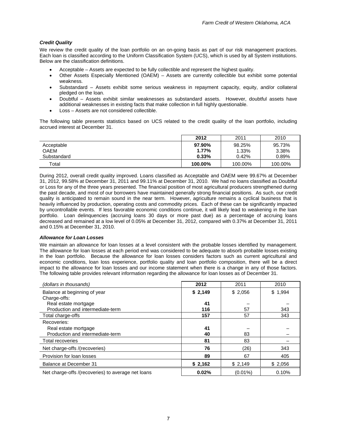# *Credit Quality*

We review the credit quality of the loan portfolio on an on-going basis as part of our risk management practices. Each loan is classified according to the Uniform Classification System (UCS), which is used by all System institutions. Below are the classification definitions.

- Acceptable Assets are expected to be fully collectible and represent the highest quality.
- Other Assets Especially Mentioned (OAEM) Assets are currently collectible but exhibit some potential weakness.
- Substandard Assets exhibit some serious weakness in repayment capacity, equity, and/or collateral pledged on the loan.
- Doubtful Assets exhibit similar weaknesses as substandard assets. However, doubtful assets have additional weaknesses in existing facts that make collection in full highly questionable.
- Loss Assets are not considered collectible.

The following table presents statistics based on UCS related to the credit quality of the loan portfolio, including accrued interest at December 31.

|                                          | 2012                     | 2011                     | 2010                     |
|------------------------------------------|--------------------------|--------------------------|--------------------------|
| Acceptable<br><b>OAEM</b><br>Substandard | 97.90%<br>1.77%<br>0.33% | 98.25%<br>1.33%<br>0.42% | 95.73%<br>3.38%<br>0.89% |
| Total                                    | 100.00%                  | 100.00%                  | 100.00%                  |

During 2012, overall credit quality improved. Loans classified as Acceptable and OAEM were 99.67% at December 31, 2012, 99.58% at December 31, 2011 and 99.11% at December 31, 2010. We had no loans classified as Doubtful or Loss for any of the three years presented. The financial position of most agricultural producers strengthened during the past decade, and most of our borrowers have maintained generally strong financial positions. As such, our credit quality is anticipated to remain sound in the near term. However, agriculture remains a cyclical business that is heavily influenced by production, operating costs and commodity prices. Each of these can be significantly impacted by uncontrollable events. If less favorable economic conditions continue, it will likely lead to weakening in the loan portfolio. Loan delinquencies (accruing loans 30 days or more past due) as a percentage of accruing loans decreased and remained at a low level of 0.05% at December 31, 2012, compared with 0.37% at December 31, 2011 and 0.15% at December 31, 2010.

### *Allowance for Loan Losses*

We maintain an allowance for loan losses at a level consistent with the probable losses identified by management. The allowance for loan losses at each period end was considered to be adequate to absorb probable losses existing in the loan portfolio. Because the allowance for loan losses considers factors such as current agricultural and economic conditions, loan loss experience, portfolio quality and loan portfolio composition, there will be a direct impact to the allowance for loan losses and our income statement when there is a change in any of those factors. The following table provides relevant information regarding the allowance for loan losses as of December 31.

| (dollars in thousands)                             | 2012    | 2011       | 2010    |
|----------------------------------------------------|---------|------------|---------|
| Balance at beginning of year                       | \$2,149 | \$2,056    | \$1,994 |
| Charge-offs:                                       |         |            |         |
| Real estate mortgage                               | 41      |            |         |
| Production and intermediate-term                   | 116     | 57         | 343     |
| Total charge-offs                                  | 157     | 57         | 343     |
| Recoveries:                                        |         |            |         |
| Real estate mortgage                               | 41      |            |         |
| Production and intermediate-term                   | 40      | 83         |         |
| Total recoveries                                   | 81      | 83         |         |
| Net charge-offs /(recoveries)                      | 76      | (26)       | 343     |
| Provision for loan losses                          | 89      | 67         | 405     |
| Balance at December 31                             | \$2,162 | \$2,149    | \$2,056 |
| Net charge-offs /(recoveries) to average net loans | 0.02%   | $(0.01\%)$ | 0.10%   |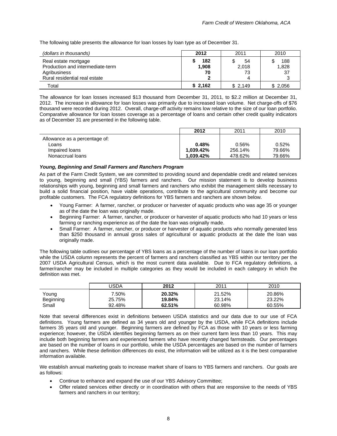The following table presents the allowance for loan losses by loan type as of December 31.

| (dollars in thousands)           | 2012    | 2011    | 2010    |
|----------------------------------|---------|---------|---------|
| Real estate mortgage             | 182     | 54      | 188     |
| Production and intermediate-term | 1,908   | 2,018   | 1,828   |
| Agribusiness                     | 70      | 73      | -37     |
| Rural residential real estate    |         |         |         |
| Total                            | \$2.162 | \$2.149 | \$2,056 |

The allowance for loan losses increased \$13 thousand from December 31, 2011, to \$2.2 million at December 31, 2012. The increase in allowance for loan losses was primarily due to increased loan volume. Net charge-offs of \$76 thousand were recorded during 2012. Overall, charge-off activity remains low relative to the size of our loan portfolio. Comparative allowance for loan losses coverage as a percentage of loans and certain other credit quality indicators as of December 31 are presented in the following table.

|                               | 2012      | 2011    | 2010   |
|-------------------------------|-----------|---------|--------|
| Allowance as a percentage of: |           |         |        |
| ∟oans                         | 0.48%     | 0.56%   | 0.52%  |
| Impaired loans                | 1.039.42% | 256.14% | 79.66% |
| Nonaccrual loans              | 1.039.42% | 478.62% | 79.66% |

### *Young, Beginning and Small Farmers and Ranchers Program*

As part of the Farm Credit System, we are committed to providing sound and dependable credit and related services to young, beginning and small (YBS) farmers and ranchers. Our mission statement is to develop business relationships with young, beginning and small farmers and ranchers who exhibit the management skills necessary to build a solid financial position, have viable operations, contribute to the agricultural community and become our profitable customers. The FCA regulatory definitions for YBS farmers and ranchers are shown below.

- Young Farmer: A farmer, rancher, or producer or harvester of aquatic products who was age 35 or younger as of the date the loan was originally made.
- Beginning Farmer: A farmer, rancher, or producer or harvester of aquatic products who had 10 years or less farming or ranching experience as of the date the loan was originally made.
- Small Farmer: A farmer, rancher, or producer or harvester of aquatic products who normally generated less than \$250 thousand in annual gross sales of agricultural or aquatic products at the date the loan was originally made.

The following table outlines our percentage of YBS loans as a percentage of the number of loans in our loan portfolio while the USDA column represents the percent of farmers and ranchers classified as YBS within our territory per the 2007 USDA Agricultural Census, which is the most current data available. Due to FCA regulatory definitions, a farmer/rancher may be included in multiple categories as they would be included in each category in which the definition was met.

|           | JSDA   | 2012   | 2011   | 2010   |
|-----------|--------|--------|--------|--------|
| Young     | 7.50%  | 20.32% | 21.52% | 20.86% |
| Beginning | 25.75% | 19.84% | 23.14% | 23.22% |
| Small     | 92.48% | 62.51% | 60.98% | 60.55% |

Note that several differences exist in definitions between USDA statistics and our data due to our use of FCA definitions. Young farmers are defined as 34 years old and younger by the USDA, while FCA definitions include farmers 35 years old and younger. Beginning farmers are defined by FCA as those with 10 years or less farming experience; however, the USDA identifies beginning farmers as on their current farm less than 10 years. This may include both beginning farmers and experienced farmers who have recently changed farmsteads. Our percentages are based on the number of loans in our portfolio, while the USDA percentages are based on the number of farmers and ranchers. While these definition differences do exist, the information will be utilized as it is the best comparative information available.

We establish annual marketing goals to increase market share of loans to YBS farmers and ranchers. Our goals are as follows:

- Continue to enhance and expand the use of our YBS Advisory Committee;
- Offer related services either directly or in coordination with others that are responsive to the needs of YBS farmers and ranchers in our territory;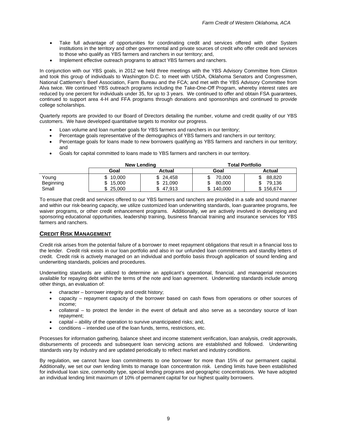- Take full advantage of opportunities for coordinating credit and services offered with other System institutions in the territory and other governmental and private sources of credit who offer credit and services to those who qualify as YBS farmers and ranchers in our territory; and,
- Implement effective outreach programs to attract YBS farmers and ranchers.

In conjunction with our YBS goals, in 2012 we held three meetings with the YBS Advisory Committee from Clinton and took this group of individuals to Washington D.C. to meet with USDA, Oklahoma Senators and Congressmen, National Cattlemen's Beef Association, Farm Bureau and the FCA; and met with the YBS Advisory Committee from Alva twice. We continued YBS outreach programs including the Take-One-Off Program, whereby interest rates are reduced by one percent for individuals under 35, for up to 3 years. We continued to offer and obtain FSA guarantees, continued to support area 4-H and FFA programs through donations and sponsorships and continued to provide college scholarships.

Quarterly reports are provided to our Board of Directors detailing the number, volume and credit quality of our YBS customers. We have developed quantitative targets to monitor our progress.

- Loan volume and loan number goals for YBS farmers and ranchers in our territory;
- Percentage goals representative of the demographics of YBS farmers and ranchers in our territory;
- Percentage goals for loans made to new borrowers qualifying as YBS farmers and ranchers in our territory; and
- Goals for capital committed to loans made to YBS farmers and ranchers in our territory.

|           | New Lending |              | <b>Total Portfolio</b> |               |      |        |  |  |
|-----------|-------------|--------------|------------------------|---------------|------|--------|--|--|
|           | Goal        |              | Actual                 |               | Goal | Actual |  |  |
| Young     | \$10,000    | \$24.458     | 70,000                 | 88.820        |      |        |  |  |
| Beginning | \$15,000    | \$21,090     | 80,000                 | -SS<br>79.136 |      |        |  |  |
| Small     | \$25,000    | \$<br>47,913 | 140,000                | \$156,674     |      |        |  |  |

To ensure that credit and services offered to our YBS farmers and ranchers are provided in a safe and sound manner and within our risk-bearing capacity, we utilize customized loan underwriting standards, loan guarantee programs, fee waiver programs, or other credit enhancement programs. Additionally, we are actively involved in developing and sponsoring educational opportunities, leadership training, business financial training and insurance services for YBS farmers and ranchers.

## **CREDIT RISK MANAGEMENT**

Credit risk arises from the potential failure of a borrower to meet repayment obligations that result in a financial loss to the lender. Credit risk exists in our loan portfolio and also in our unfunded loan commitments and standby letters of credit. Credit risk is actively managed on an individual and portfolio basis through application of sound lending and underwriting standards, policies and procedures.

Underwriting standards are utilized to determine an applicant's operational, financial, and managerial resources available for repaying debt within the terms of the note and loan agreement. Underwriting standards include among other things, an evaluation of:

- character borrower integrity and credit history;
- capacity repayment capacity of the borrower based on cash flows from operations or other sources of income;
- collateral to protect the lender in the event of default and also serve as a secondary source of loan repayment;
- capital ability of the operation to survive unanticipated risks; and,
- conditions intended use of the loan funds, terms, restrictions, etc.

Processes for information gathering, balance sheet and income statement verification, loan analysis, credit approvals, disbursements of proceeds and subsequent loan servicing actions are established and followed. Underwriting standards vary by industry and are updated periodically to reflect market and industry conditions.

By regulation, we cannot have loan commitments to one borrower for more than 15% of our permanent capital. Additionally, we set our own lending limits to manage loan concentration risk. Lending limits have been established for individual loan size, commodity type, special lending programs and geographic concentrations. We have adopted an individual lending limit maximum of 10% of permanent capital for our highest quality borrowers.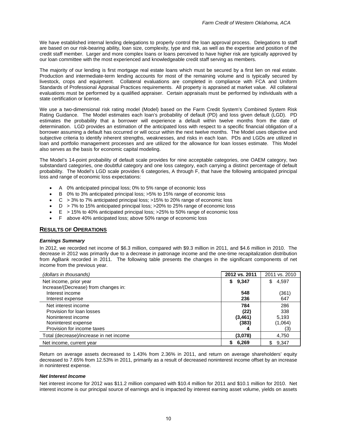We have established internal lending delegations to properly control the loan approval process. Delegations to staff are based on our risk-bearing ability, loan size, complexity, type and risk, as well as the expertise and position of the credit staff member. Larger and more complex loans or loans perceived to have higher risk are typically approved by our loan committee with the most experienced and knowledgeable credit staff serving as members.

The majority of our lending is first mortgage real estate loans which must be secured by a first lien on real estate. Production and intermediate-term lending accounts for most of the remaining volume and is typically secured by livestock, crops and equipment. Collateral evaluations are completed in compliance with FCA and Uniform Standards of Professional Appraisal Practices requirements. All property is appraised at market value. All collateral evaluations must be performed by a qualified appraiser. Certain appraisals must be performed by individuals with a state certification or license.

We use a two-dimensional risk rating model (Model) based on the Farm Credit System's Combined System Risk Rating Guidance. The Model estimates each loan's probability of default (PD) and loss given default (LGD). PD estimates the probability that a borrower will experience a default within twelve months from the date of determination. LGD provides an estimation of the anticipated loss with respect to a specific financial obligation of a borrower assuming a default has occurred or will occur within the next twelve months. The Model uses objective and subjective criteria to identify inherent strengths, weaknesses, and risks in each loan. PDs and LGDs are utilized in loan and portfolio management processes and are utilized for the allowance for loan losses estimate. This Model also serves as the basis for economic capital modeling.

The Model's 14-point probability of default scale provides for nine acceptable categories, one OAEM category, two substandard categories, one doubtful category and one loss category, each carrying a distinct percentage of default probability. The Model's LGD scale provides 6 categories, A through F, that have the following anticipated principal loss and range of economic loss expectations:

- A 0% anticipated principal loss; 0% to 5% range of economic loss
- B 0% to 3% anticipated principal loss; >5% to 15% range of economic loss
- C > 3% to 7% anticipated principal loss; >15% to 20% range of economic loss
- $\bullet$  D > 7% to 15% anticipated principal loss; > 20% to 25% range of economic loss
- E > 15% to 40% anticipated principal loss; >25% to 50% range of economic loss
- F above 40% anticipated loss; above 50% range of economic loss

# **RESULTS OF OPERATIONS**

### *Earnings Summary*

In 2012, we recorded net income of \$6.3 million, compared with \$9.3 million in 2011, and \$4.6 million in 2010. The decrease in 2012 was primarily due to a decrease in patronage income and the one-time recapitalization distribution from AgBank recorded in 2011. The following table presents the changes in the significant components of net income from the previous year.

| (dollars in thousands)                  | 2012 vs. 2011 | 2011 vs. 2010 |
|-----------------------------------------|---------------|---------------|
| Net income, prior year                  | 9,347<br>\$   | 4,597<br>\$   |
| Increase/(Decrease) from changes in:    |               |               |
| Interest income                         | 548           | (361)         |
| Interest expense                        | 236           | 647           |
| Net interest income                     | 784           | 286           |
| Provision for loan losses               | (22)          | 338           |
| Noninterest income                      | (3, 461)      | 5,193         |
| Noninterest expense                     | (383)         | (1,064)       |
| Provision for income taxes              |               | (3)           |
| Total (decrease)/increase in net income | (3,078)       | 4,750         |
| Net income, current year                | 6,269         | 9,347         |

Return on average assets decreased to 1.43% from 2.36% in 2011, and return on average shareholders' equity decreased to 7.65% from 12.53% in 2011, primarily as a result of decreased noninterest income offset by an increase in noninterest expense.

### *Net Interest Income*

Net interest income for 2012 was \$11.2 million compared with \$10.4 million for 2011 and \$10.1 million for 2010. Net interest income is our principal source of earnings and is impacted by interest earning asset volume, yields on assets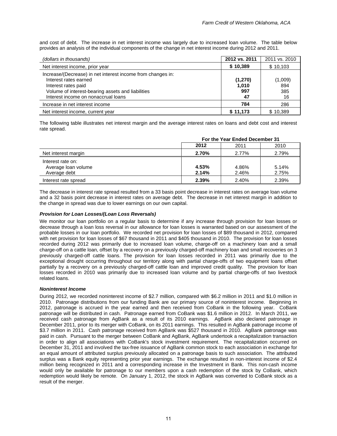and cost of debt. The increase in net interest income was largely due to increased loan volume. The table below provides an analysis of the individual components of the change in net interest income during 2012 and 2011.

| (dollars in thousands)                                                                                                                                                                                  | 2012 vs. 2011                 | 2011 vs. 2010               |
|---------------------------------------------------------------------------------------------------------------------------------------------------------------------------------------------------------|-------------------------------|-----------------------------|
| Net interest income, prior year                                                                                                                                                                         | \$10,389                      | \$10,103                    |
| Increase/(Decrease) in net interest income from changes in:<br>Interest rates earned<br>Interest rates paid<br>Volume of interest-bearing assets and liabilities<br>Interest income on nonaccrual loans | (1,270)<br>1.010<br>997<br>47 | (1,009)<br>894<br>385<br>16 |
| Increase in net interest income                                                                                                                                                                         | 784                           | 286                         |
| Net interest income, current year                                                                                                                                                                       | \$11,173                      | \$10,389                    |

The following table illustrates net interest margin and the average interest rates on loans and debt cost and interest rate spread.

|                                                          | For the Year Ended December 31 |                |                |  |  |
|----------------------------------------------------------|--------------------------------|----------------|----------------|--|--|
|                                                          | 2012                           | 2011           | 2010           |  |  |
| Net interest margin                                      | 2.70%                          | 2.77%          | 2.79%          |  |  |
| Interest rate on:<br>Average loan volume<br>Average debt | 4.53%<br>2.14%                 | 4.86%<br>2.46% | 5.14%<br>2.75% |  |  |
| Interest rate spread                                     | 2.39%                          | 2.40%          | 2.39%          |  |  |

The decrease in interest rate spread resulted from a 33 basis point decrease in interest rates on average loan volume and a 32 basis point decrease in interest rates on average debt. The decrease in net interest margin in addition to the change in spread was due to lower earnings on our own capital.

### *Provision for Loan Losses/(Loan Loss Reversals)*

We monitor our loan portfolio on a regular basis to determine if any increase through provision for loan losses or decrease through a loan loss reversal in our allowance for loan losses is warranted based on our assessment of the probable losses in our loan portfolio. We recorded net provision for loan losses of \$89 thousand in 2012, compared with net provision for loan losses of \$67 thousand in 2011 and \$405 thousand in 2010. The provision for loan losses recorded during 2012 was primarily due to increased loan volume, charge-off on a machinery loan and a small charge-off on a cattle loan, offset by a recovery on a previously charged-off machinery loan and small recoveries on 3 previously charged-off cattle loans. The provision for loan losses recorded in 2011 was primarily due to the exceptional drought occurring throughout our territory along with partial charge-offs of two equipment loans offset partially by a recovery on a previously charged-off cattle loan and improved credit quality. The provision for loan losses recorded in 2010 was primarily due to increased loan volume and by partial charge-offs of two livestock related loans.

### *Noninterest Income*

During 2012, we recorded noninterest income of \$2.7 million, compared with \$6.2 million in 2011 and \$1.0 million in 2010. Patronage distributions from our funding Bank are our primary source of noninterest income. Beginning in 2012, patronage is accrued in the year earned and then received from CoBank in the following year. CoBank patronage will be distributed in cash. Patronage earned from CoBank was \$1.6 million in 2012. In March 2011, we received cash patronage from AgBank as a result of its 2010 earnings. AgBank also declared patronage in December 2011, prior to its merger with CoBank, on its 2011 earnings. This resulted in AgBank patronage income of \$3.7 million in 2011. Cash patronage received from AgBank was \$527 thousand in 2010. AgBank patronage was paid in cash. Pursuant to the merger between CoBank and AgBank, AgBank undertook a recapitalization transaction in order to align all associations with CoBank's stock investment requirement. The recapitalization occurred on December 31, 2011 and involved the tax-free issuance of AgBank common stock to each association in exchange for an equal amount of attributed surplus previously allocated on a patronage basis to such association. The attributed surplus was a Bank equity representing prior year earnings. The exchange resulted in non-interest income of \$2.4 million being recognized in 2011 and a corresponding increase in the Investment in Bank. This non-cash income would only be available for patronage to our members upon a cash redemption of the stock by CoBank, which redemption would likely be remote. On January 1, 2012, the stock in AgBank was converted to CoBank stock as a result of the merger.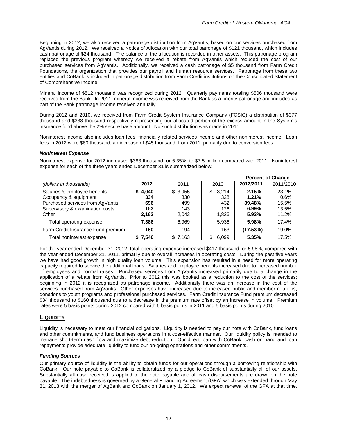Beginning in 2012, we also received a patronage distribution from AgVantis, based on our services purchased from AgVantis during 2012. We received a Notice of Allocation with our total patronage of \$121 thousand, which includes cash patronage of \$24 thousand. The balance of the allocation is recorded in other assets. This patronage program replaced the previous program whereby we received a rebate from AgVantis which reduced the cost of our purchased services from AgVantis. Additionally, we received a cash patronage of \$5 thousand from Farm Credit Foundations, the organization that provides our payroll and human resource services. Patronage from these two entities and CoBank is included in patronage distribution from Farm Credit institutions on the Consolidated Statement of Comprehensive Income.

Mineral income of \$512 thousand was recognized during 2012. Quarterly payments totaling \$506 thousand were received from the Bank. In 2011, mineral income was received from the Bank as a priority patronage and included as part of the Bank patronage income received annually.

During 2012 and 2010, we received from Farm Credit System Insurance Company (FCSIC) a distribution of \$377 thousand and \$338 thousand respectively representing our allocated portion of the excess amount in the System's insurance fund above the 2% secure base amount. No such distribution was made in 2011.

Noninterest income also includes loan fees, financially related services income and other noninterest income. Loan fees in 2012 were \$60 thousand, an increase of \$45 thousand, from 2011, primarily due to conversion fees.

### *Noninterest Expense*

Noninterest expense for 2012 increased \$383 thousand, or 5.35%, to \$7.5 million compared with 2011. Noninterest expense for each of the three years ended December 31 is summarized below:

|                                                                                                                                       |                                       |                                       |                                           | <b>Percent of Change</b>                   |                                          |
|---------------------------------------------------------------------------------------------------------------------------------------|---------------------------------------|---------------------------------------|-------------------------------------------|--------------------------------------------|------------------------------------------|
| (dollars in thousands)                                                                                                                | 2012                                  | 2011                                  | 2010                                      | 2012/2011                                  | 2011/2010                                |
| Salaries & employee benefits<br>Occupancy & equipment<br>Purchased services from AgVantis<br>Supervisory & examination costs<br>Other | \$4.040<br>334<br>696<br>153<br>2,163 | \$3.955<br>330<br>499<br>143<br>2,042 | 3.214<br>\$<br>328<br>432<br>126<br>1,836 | 2.15%<br>1.21%<br>39.48%<br>6.99%<br>5.93% | 23.1%<br>0.6%<br>15.5%<br>13.5%<br>11.2% |
| Total operating expense                                                                                                               | 7,386                                 | 6,969                                 | 5,936                                     | 5.98%                                      | 17.4%                                    |
| Farm Credit Insurance Fund premium                                                                                                    | 160                                   | 194                                   | 163                                       | (17.53%)                                   | 19.0%                                    |
| Total noninterest expense                                                                                                             | \$7,546                               | 7.163<br>S.                           | 6.099<br>S                                | 5.35%                                      | 17.5%                                    |

For the year ended December 31, 2012, total operating expense increased \$417 thousand, or 5.98%, compared with the year ended December 31, 2011, primarily due to overall increases in operating costs. During the past five years we have had good growth in high quality loan volume. This expansion has resulted in a need for more operating capacity required to service the additional loans. Salaries and employee benefits increased due to increased number of employees and normal raises. Purchased services from AgVantis increased primarily due to a change in the application of a rebate from AgVantis. Prior to 2012 this was booked as a reduction to the cost of the services; beginning in 2012 it is recognized as patronage income. Additionally there was an increase in the cost of the services purchased from AgVantis. Other expenses have increased due to increased public and member relations, donations to youth programs and professional purchased services. Farm Credit Insurance Fund premium decreased \$34 thousand to \$160 thousand due to a decrease in the premium rate offset by an increase in volume. Premium rates were 5 basis points during 2012 compared with 6 basis points in 2011 and 5 basis points during 2010.

## **LIQUIDITY**

Liquidity is necessary to meet our financial obligations. Liquidity is needed to pay our note with CoBank, fund loans and other commitments, and fund business operations in a cost-effective manner. Our liquidity policy is intended to manage short-term cash flow and maximize debt reduction. Our direct loan with CoBank, cash on hand and loan repayments provide adequate liquidity to fund our on-going operations and other commitments.

## *Funding Sources*

Our primary source of liquidity is the ability to obtain funds for our operations through a borrowing relationship with CoBank. Our note payable to CoBank is collateralized by a pledge to CoBank of substantially all of our assets. Substantially all cash received is applied to the note payable and all cash disbursements are drawn on the note payable. The indebtedness is governed by a General Financing Agreement (GFA) which was extended through May 31, 2013 with the merger of AgBank and CoBank on January 1, 2012. We expect renewal of the GFA at that time.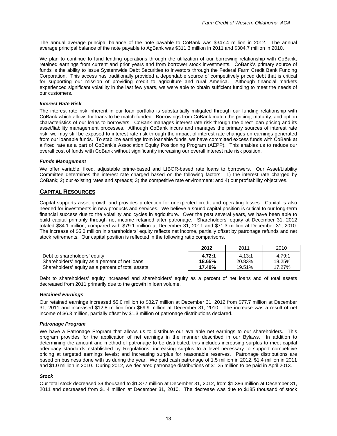The annual average principal balance of the note payable to CoBank was \$347.4 million in 2012. The annual average principal balance of the note payable to AgBank was \$311.3 million in 2011 and \$304.7 million in 2010.

We plan to continue to fund lending operations through the utilization of our borrowing relationship with CoBank, retained earnings from current and prior years and from borrower stock investments. CoBank's primary source of funds is the ability to issue Systemwide Debt Securities to investors through the Federal Farm Credit Bank Funding Corporation. This access has traditionally provided a dependable source of competitively priced debt that is critical for supporting our mission of providing credit to agriculture and rural America. Although financial markets experienced significant volatility in the last few years, we were able to obtain sufficient funding to meet the needs of our customers.

### *Interest Rate Risk*

The interest rate risk inherent in our loan portfolio is substantially mitigated through our funding relationship with CoBank which allows for loans to be match-funded. Borrowings from CoBank match the pricing, maturity, and option characteristics of our loans to borrowers. CoBank manages interest rate risk through the direct loan pricing and its asset/liability management processes. Although CoBank incurs and manages the primary sources of interest rate risk, we may still be exposed to interest rate risk through the impact of interest rate changes on earnings generated from our loanable funds. To stabilize earnings from loanable funds, we have committed excess funds with CoBank at a fixed rate as a part of CoBank's Association Equity Positioning Program (AEPP). This enables us to reduce our overall cost of funds with CoBank without significantly increasing our overall interest rate risk position.

### *Funds Management*

We offer variable, fixed, adjustable prime-based and LIBOR-based rate loans to borrowers. Our Asset/Liability Committee determines the interest rate charged based on the following factors: 1) the interest rate charged by CoBank; 2) our existing rates and spreads; 3) the competitive rate environment; and 4) our profitability objectives.

# **CAPITAL RESOURCES**

Capital supports asset growth and provides protection for unexpected credit and operating losses. Capital is also needed for investments in new products and services. We believe a sound capital position is critical to our long-term financial success due to the volatility and cycles in agriculture. Over the past several years, we have been able to build capital primarily through net income retained after patronage. Shareholders' equity at December 31, 2012 totaled \$84.1 million, compared with \$79.1 million at December 31, 2011 and \$71.3 million at December 31, 2010. The increase of \$5.0 million in shareholders' equity reflects net income, partially offset by patronage refunds and net stock retirements. Our capital position is reflected in the following ratio comparisons.

|                                                                                                     | 2012             | 2011             | 2010             |
|-----------------------------------------------------------------------------------------------------|------------------|------------------|------------------|
| Debt to shareholders' equity                                                                        | 4.72:1<br>18.65% | 4.13:1           | 4.79:1           |
| Shareholders' equity as a percent of net loans<br>Shareholders' equity as a percent of total assets | 17.48%           | 20.83%<br>19.51% | 18.25%<br>17.27% |

Debt to shareholders' equity increased and shareholders' equity as a percent of net loans and of total assets decreased from 2011 primarily due to the growth in loan volume.

## *Retained Earnings*

Our retained earnings increased \$5.0 million to \$82.7 million at December 31, 2012 from \$77.7 million at December 31, 2011 and increased \$12.8 million from \$69.9 million at December 31, 2010. The increase was a result of net income of \$6.3 million, partially offset by \$1.3 million of patronage distributions declared.

## *Patronage Program*

We have a Patronage Program that allows us to distribute our available net earnings to our shareholders. This program provides for the application of net earnings in the manner described in our Bylaws. In addition to determining the amount and method of patronage to be distributed, this includes increasing surplus to meet capital adequacy standards established by Regulations; increasing surplus to a level necessary to support competitive pricing at targeted earnings levels; and increasing surplus for reasonable reserves. Patronage distributions are based on business done with us during the year. We paid cash patronage of 1.5 million in 2012, \$1.4 million in 2011 and \$1.0 million in 2010. During 2012, we declared patronage distributions of \$1.25 million to be paid in April 2013.

### *Stock*

Our total stock decreased \$9 thousand to \$1.377 million at December 31, 2012, from \$1.386 million at December 31, 2011 and decreased from \$1.4 million at December 31, 2010. The decrease was due to \$185 thousand of stock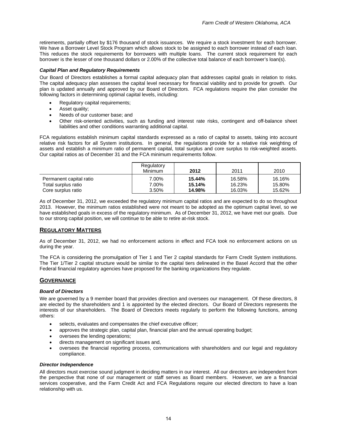retirements, partially offset by \$176 thousand of stock issuances. We require a stock investment for each borrower. We have a Borrower Level Stock Program which allows stock to be assigned to each borrower instead of each loan. This reduces the stock requirements for borrowers with multiple loans. The current stock requirement for each borrower is the lesser of one thousand dollars or 2.00% of the collective total balance of each borrower's loan(s).

### *Capital Plan and Regulatory Requirements*

Our Board of Directors establishes a formal capital adequacy plan that addresses capital goals in relation to risks. The capital adequacy plan assesses the capital level necessary for financial viability and to provide for growth. Our plan is updated annually and approved by our Board of Directors. FCA regulations require the plan consider the following factors in determining optimal capital levels, including:

- Regulatory capital requirements;
- Asset quality;
- Needs of our customer base; and
- Other risk-oriented activities, such as funding and interest rate risks, contingent and off-balance sheet liabilities and other conditions warranting additional capital.

FCA regulations establish minimum capital standards expressed as a ratio of capital to assets, taking into account relative risk factors for all System institutions. In general, the regulations provide for a relative risk weighting of assets and establish a minimum ratio of permanent capital, total surplus and core surplus to risk-weighted assets. Our capital ratios as of December 31 and the FCA minimum requirements follow.

|                         | Regulatory<br>Minimum | 2012   | 2011   | 2010   |
|-------------------------|-----------------------|--------|--------|--------|
| Permanent capital ratio | 7.00%                 | 15.44% | 16.58% | 16.16% |
| Total surplus ratio     | 7.00%                 | 15.14% | 16.23% | 15.80% |
| Core surplus ratio      | 3.50%                 | 14.98% | 16.03% | 15.62% |

As of December 31, 2012, we exceeded the regulatory minimum capital ratios and are expected to do so throughout 2013. However, the minimum ratios established were not meant to be adopted as the optimum capital level, so we have established goals in excess of the regulatory minimum. As of December 31, 2012, we have met our goals. Due to our strong capital position, we will continue to be able to retire at-risk stock.

## **REGULATORY MATTERS**

As of December 31, 2012, we had no enforcement actions in effect and FCA took no enforcement actions on us during the year.

The FCA is considering the promulgation of Tier 1 and Tier 2 capital standards for Farm Credit System institutions. The Tier 1/Tier 2 capital structure would be similar to the capital tiers delineated in the Basel Accord that the other Federal financial regulatory agencies have proposed for the banking organizations they regulate.

## **GOVERNANCE**

### *Board of Directors*

We are governed by a 9 member board that provides direction and oversees our management. Of these directors, 8 are elected by the shareholders and 1 is appointed by the elected directors. Our Board of Directors represents the interests of our shareholders. The Board of Directors meets regularly to perform the following functions, among others:

- selects, evaluates and compensates the chief executive officer;
- approves the strategic plan, capital plan, financial plan and the annual operating budget;
- oversees the lending operations;
- directs management on significant issues and,
- oversees the financial reporting process, communications with shareholders and our legal and regulatory compliance.

### *Director Independence*

All directors must exercise sound judgment in deciding matters in our interest. All our directors are independent from the perspective that none of our management or staff serves as Board members. However, we are a financial services cooperative, and the Farm Credit Act and FCA Regulations require our elected directors to have a loan relationship with us.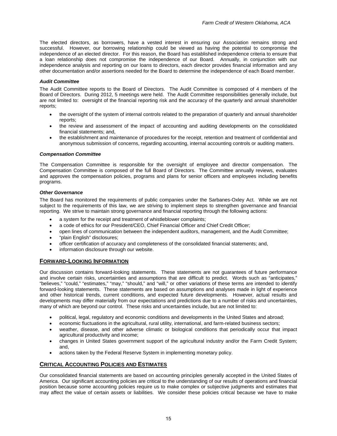The elected directors, as borrowers, have a vested interest in ensuring our Association remains strong and successful. However, our borrowing relationship could be viewed as having the potential to compromise the independence of an elected director. For this reason, the Board has established independence criteria to ensure that a loan relationship does not compromise the independence of our Board. Annually, in conjunction with our independence analysis and reporting on our loans to directors, each director provides financial information and any other documentation and/or assertions needed for the Board to determine the independence of each Board member.

### *Audit Committee*

The Audit Committee reports to the Board of Directors. The Audit Committee is composed of 4 members of the Board of Directors. During 2012, 5 meetings were held. The Audit Committee responsibilities generally include, but are not limited to: oversight of the financial reporting risk and the accuracy of the quarterly and annual shareholder reports;

- the oversight of the system of internal controls related to the preparation of quarterly and annual shareholder reports;
- the review and assessment of the impact of accounting and auditing developments on the consolidated financial statements; and,
- the establishment and maintenance of procedures for the receipt, retention and treatment of confidential and anonymous submission of concerns, regarding accounting, internal accounting controls or auditing matters.

### *Compensation Committee*

The Compensation Committee is responsible for the oversight of employee and director compensation. The Compensation Committee is composed of the full Board of Directors. The Committee annually reviews, evaluates and approves the compensation policies, programs and plans for senior officers and employees including benefits programs.

### *Other Governance*

The Board has monitored the requirements of public companies under the Sarbanes-Oxley Act. While we are not subject to the requirements of this law, we are striving to implement steps to strengthen governance and financial reporting. We strive to maintain strong governance and financial reporting through the following actions:

- a system for the receipt and treatment of whistleblower complaints;
- a code of ethics for our President/CEO, Chief Financial Officer and Chief Credit Officer;
- open lines of communication between the independent auditors, management, and the Audit Committee;
- "plain English" disclosures;
- officer certification of accuracy and completeness of the consolidated financial statements; and,
- information disclosure through our website.

## **FORWARD-LOOKING INFORMATION**

Our discussion contains forward-looking statements. These statements are not guarantees of future performance and involve certain risks, uncertainties and assumptions that are difficult to predict. Words such as "anticipates," "believes," "could," "estimates," "may," "should," and "will," or other variations of these terms are intended to identify forward-looking statements. These statements are based on assumptions and analyses made in light of experience and other historical trends, current conditions, and expected future developments. However, actual results and developments may differ materially from our expectations and predictions due to a number of risks and uncertainties, many of which are beyond our control. These risks and uncertainties include, but are not limited to:

- political, legal, regulatory and economic conditions and developments in the United States and abroad;
- economic fluctuations in the agricultural, rural utility, international, and farm-related business sectors;
- weather, disease, and other adverse climatic or biological conditions that periodically occur that impact agricultural productivity and income;
- changes in United States government support of the agricultural industry and/or the Farm Credit System; and,
- actions taken by the Federal Reserve System in implementing monetary policy.

## **CRITICAL ACCOUNTING POLICIES AND ESTIMATES**

Our consolidated financial statements are based on accounting principles generally accepted in the United States of America. Our significant accounting policies are critical to the understanding of our results of operations and financial position because some accounting policies require us to make complex or subjective judgments and estimates that may affect the value of certain assets or liabilities. We consider these policies critical because we have to make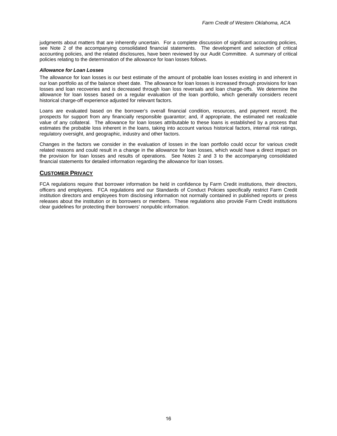judgments about matters that are inherently uncertain. For a complete discussion of significant accounting policies, see Note 2 of the accompanying consolidated financial statements. The development and selection of critical accounting policies, and the related disclosures, have been reviewed by our Audit Committee. A summary of critical policies relating to the determination of the allowance for loan losses follows.

#### *Allowance for Loan Losses*

The allowance for loan losses is our best estimate of the amount of probable loan losses existing in and inherent in our loan portfolio as of the balance sheet date. The allowance for loan losses is increased through provisions for loan losses and loan recoveries and is decreased through loan loss reversals and loan charge-offs. We determine the allowance for loan losses based on a regular evaluation of the loan portfolio, which generally considers recent historical charge-off experience adjusted for relevant factors.

Loans are evaluated based on the borrower's overall financial condition, resources, and payment record; the prospects for support from any financially responsible guarantor; and, if appropriate, the estimated net realizable value of any collateral. The allowance for loan losses attributable to these loans is established by a process that estimates the probable loss inherent in the loans, taking into account various historical factors, internal risk ratings, regulatory oversight, and geographic, industry and other factors.

Changes in the factors we consider in the evaluation of losses in the loan portfolio could occur for various credit related reasons and could result in a change in the allowance for loan losses, which would have a direct impact on the provision for loan losses and results of operations. See Notes 2 and 3 to the accompanying consolidated financial statements for detailed information regarding the allowance for loan losses.

### **CUSTOMER PRIVACY**

FCA regulations require that borrower information be held in confidence by Farm Credit institutions, their directors, officers and employees. FCA regulations and our Standards of Conduct Policies specifically restrict Farm Credit institution directors and employees from disclosing information not normally contained in published reports or press releases about the institution or its borrowers or members. These regulations also provide Farm Credit institutions clear guidelines for protecting their borrowers' nonpublic information.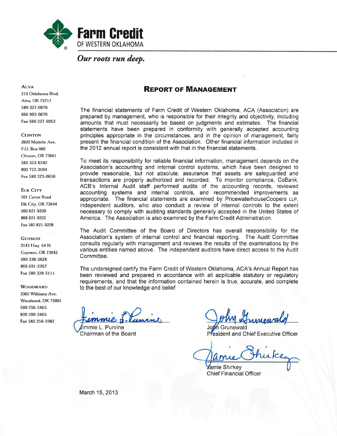

Our roots run deep.

#### $A<sub>I</sub> *VA*$

219 Oklahoma Blvd. Alva, OK 73717 580 327-0870 866 903-0870 Fax 580 327-6952

#### **CLINTON**

2600 Modelle Ave. P.O. Box 969 Clinton, OK 73601 580 323-0342 800 722-3004 Fax 580 323-0650

#### **ELK CITY**

101 Carter Road Elk City, OK 73644 580 821-9200 888 821-9202 Fax 580 821-9208

### **GUYMON**

2143 Hwy. 64 N. Guymon, OK 73942 580 338-3828 866 691-2267 Fax 580 338-5111

**WOODWARD** 3302 Williams Ave. Woodward, OK 73801 580 256-3465 800 299-3465 Fax 580 256-5982

# **REPORT OF MANAGEMENT**

The financial statements of Farm Credit of Western Oklahoma, ACA (Association) are prepared by management, who is responsible for their integrity and objectivity, including amounts that must necessarily be based on judgments and estimates. The financial statements have been prepared in conformity with generally accepted accounting principles appropriate in the circumstances, and in the opinion of management, fairly present the financial condition of the Association. Other financial information included in the 2012 annual report is consistent with that in the financial statements.

To meet its responsibility for reliable financial information, management depends on the Association's accounting and internal control systems, which have been designed to provide reasonable, but not absolute, assurance that assets are safequarded and transactions are properly authorized and recorded. To monitor compliance, CoBank, ACB's Internal Audit staff performed audits of the accounting records, reviewed accounting systems and internal controls, and recommended improvements as appropriate. The financial statements are examined by PricewaterhouseCoopers LLP, independent auditors, who also conduct a review of internal controls to the extent necessary to comply with auditing standards generally accepted in the United States of America. The Association is also examined by the Farm Credit Administration.

The Audit Committee of the Board of Directors has overall responsibility for the Association's system of internal control and financial reporting. The Audit Committee consults regularly with management and reviews the results of the examinations by the various entities named above. The independent auditors have direct access to the Audit Committee.

The undersigned certify the Farm Credit of Western Oklahoma, ACA's Annual Report has been reviewed and prepared in accordance with all applicable statutory or regulatory requirements, and that the information contained herein is true, accurate, and complete to the best of our knowledge and belief.

immie L. Purvine Chairman of the Board

n Grunewald **resident and Chief Executive Officer** 

amie Shirkey **Chief Financial Officer** 

March 15, 2013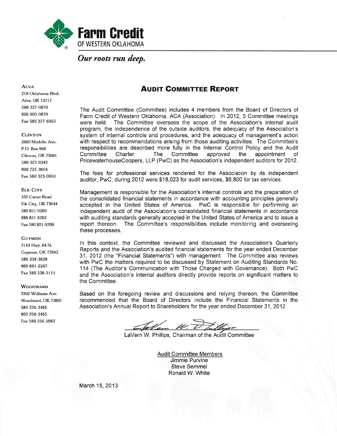

Our roots run deep.

#### **ALVA**

219 Oklahoma Blvd. Alva, OK 73717 580 327-0870 866.903.0870 Fax 580 327-6952

#### **CLINTON**

2600 Modelle Ave. P.O. Box 969 Clinton, OK 73601 580 323-0342 800 722-3004 Fax 580 323-0650

#### **FIK CITY**

101 Carter Road Elk City, OK 73644 580 821-9200 888 821-9202 Fax 580 821-9208

#### **GUYMON**

2143 Hwy. 64 N. Guymon, OK 73942 580 338-3828 866 691-2267 Fax 580 338-5111

#### **WOODWARD**

3302 Williams Ave. Woodward, OK 73801 580 256-3465 800 299-3465 Fax 580 256-5982

# **AUDIT COMMITTEE REPORT**

The Audit Committee (Committee) includes 4 members from the Board of Directors of Farm Credit of Western Oklahoma, ACA (Association). In 2012, 5 Committee meetings were held. The Committee oversees the scope of the Association's internal audit program, the independence of the outside auditors, the adequacy of the Association's system of internal controls and procedures, and the adequacy of management's action with respect to recommendations arising from those auditing activities. The Committee's responsibilities are described more fully in the Internal Control Policy and the Audit Committee Committee Charter. The approved the appointment of PricewaterhouseCoopers, LLP (PwC) as the Association's independent auditors for 2012.

The fees for professional services rendered for the Association by its independent auditor, PwC, during 2012 were \$18,023 for audit services, \$6,800 for tax services.

Management is responsible for the Association's internal controls and the preparation of the consolidated financial statements in accordance with accounting principles generally accepted in the United States of America. PwC is responsible for performing an independent audit of the Association's consolidated financial statements in accordance with auditing standards generally accepted in the United States of America and to issue a report thereon. The Committee's responsibilities include monitoring and overseeing these processes.

In this context, the Committee reviewed and discussed the Association's Quarterly Reports and the Association's audited financial statements for the year ended December 31, 2012 (the "Financial Statements") with management. The Committee also reviews with PwC the matters required to be discussed by Statement on Auditing Standards No. 114 (The Auditor's Communication with Those Charged with Governance). Both PwC and the Association's internal auditors directly provide reports on significant matters to the Committee.

Based on the foregoing review and discussions and relying thereon, the Committee recommended that the Board of Directors include the Financial Statements in the Association's Annual Report to Shareholders for the year ended December 31, 2012.

LaVern W. Phillips, Chairman of the Audit Committee

**Audit Committee Members** Jimmie Purvine **Steve Semmel** Ronald W. White

March 15, 2013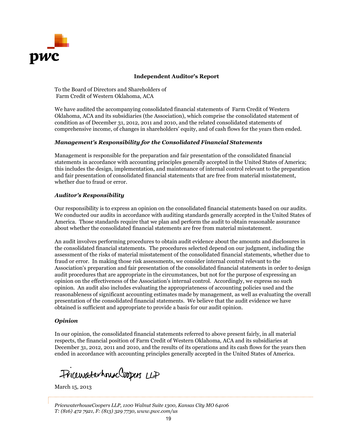

# **Independent Auditor's Report**

To the Board of Directors and Shareholders of Farm Credit of Western Oklahoma, ACA

We have audited the accompanying consolidated financial statements of Farm Credit of Western Oklahoma, ACA and its subsidiaries (the Association), which comprise the consolidated statement of condition as of December 31, 2012, 2011 and 2010, and the related consolidated statements of comprehensive income, of changes in shareholders' equity, and of cash flows for the years then ended.

# *Management's Responsibility for the Consolidated Financial Statements*

Management is responsible for the preparation and fair presentation of the consolidated financial statements in accordance with accounting principles generally accepted in the United States of America; this includes the design, implementation, and maintenance of internal control relevant to the preparation and fair presentation of consolidated financial statements that are free from material misstatement, whether due to fraud or error.

# *Auditor's Responsibility*

Our responsibility is to express an opinion on the consolidated financial statements based on our audits. We conducted our audits in accordance with auditing standards generally accepted in the United States of America. Those standards require that we plan and perform the audit to obtain reasonable assurance about whether the consolidated financial statements are free from material misstatement.

An audit involves performing procedures to obtain audit evidence about the amounts and disclosures in the consolidated financial statements. The procedures selected depend on our judgment, including the assessment of the risks of material misstatement of the consolidated financial statements, whether due to fraud or error. In making those risk assessments, we consider internal control relevant to the Association's preparation and fair presentation of the consolidated financial statements in order to design audit procedures that are appropriate in the circumstances, but not for the purpose of expressing an opinion on the effectiveness of the Association's internal control. Accordingly, we express no such opinion. An audit also includes evaluating the appropriateness of accounting policies used and the reasonableness of significant accounting estimates made by management, as well as evaluating the overall presentation of the consolidated financial statements. We believe that the audit evidence we have obtained is sufficient and appropriate to provide a basis for our audit opinion.

# *Opinion*

In our opinion, the consolidated financial statements referred to above present fairly, in all material respects, the financial position of Farm Credit of Western Oklahoma, ACA and its subsidiaries at December 31, 2012, 2011 and 2010, and the results of its operations and its cash flows for the years then ended in accordance with accounting principles generally accepted in the United States of America.

Pricewaterhouse Coopers LLP

March 15, 2013

*PricewaterhouseCoopers LLP, 1100 Walnut Suite 1300, Kansas City MO 64106 T: (816) 472 7921, F: (813) 329 7730, www.pwc.com/us*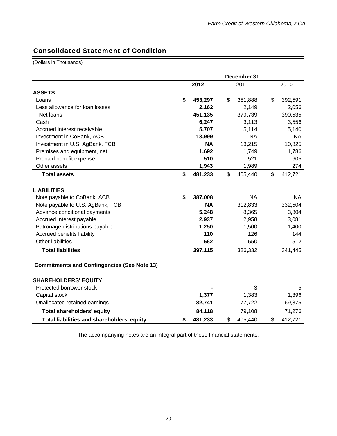L,

# Consolidated Statement of Condition

(Dollars in Thousands)

|                                                    | December 31 |           |    |           |    |           |
|----------------------------------------------------|-------------|-----------|----|-----------|----|-----------|
|                                                    |             | 2012      |    | 2011      |    | 2010      |
| <b>ASSETS</b>                                      |             |           |    |           |    |           |
| Loans                                              | \$          | 453,297   | \$ | 381,888   | \$ | 392,591   |
| Less allowance for loan losses                     |             | 2,162     |    | 2,149     |    | 2,056     |
| Net loans                                          |             | 451,135   |    | 379,739   |    | 390,535   |
| Cash                                               |             | 6,247     |    | 3,113     |    | 3,556     |
| Accrued interest receivable                        |             | 5,707     |    | 5,114     |    | 5,140     |
| Investment in CoBank, ACB                          |             | 13,999    |    | <b>NA</b> |    | <b>NA</b> |
| Investment in U.S. AgBank, FCB                     |             | <b>NA</b> |    | 13,215    |    | 10,825    |
| Premises and equipment, net                        |             | 1,692     |    | 1,749     |    | 1,786     |
| Prepaid benefit expense                            |             | 510       |    | 521       |    | 605       |
| Other assets                                       |             | 1,943     |    | 1,989     |    | 274       |
| <b>Total assets</b>                                | \$          | 481,233   | \$ | 405,440   | \$ | 412,721   |
|                                                    |             |           |    |           |    |           |
| <b>LIABILITIES</b>                                 |             |           |    |           |    |           |
| Note payable to CoBank, ACB                        | \$          | 387,008   |    | <b>NA</b> |    | <b>NA</b> |
| Note payable to U.S. AgBank, FCB                   |             | <b>NA</b> |    | 312,833   |    | 332,504   |
| Advance conditional payments                       |             | 5,248     |    | 8,365     |    | 3,804     |
| Accrued interest payable                           |             | 2,937     |    | 2,958     |    | 3,081     |
| Patronage distributions payable                    |             | 1,250     |    | 1,500     |    | 1,400     |
| Accrued benefits liability                         |             | 110       |    | 126       |    | 144       |
| <b>Other liabilities</b>                           |             | 562       |    | 550       |    | 512       |
| <b>Total liabilities</b>                           |             | 397,115   |    | 326,332   |    | 341,445   |
| <b>Commitments and Contingencies (See Note 13)</b> |             |           |    |           |    |           |
| <b>SHAREHOLDERS' EQUITY</b>                        |             |           |    |           |    |           |
| Protected borrower stock                           |             |           |    | 3         |    | 5         |
| Capital stock                                      |             | 1,377     |    | 1,383     |    | 1,396     |
| Unallocated retained earnings                      |             | 82,741    |    | 77,722    |    | 69,875    |
| <b>Total shareholders' equity</b>                  |             | 84,118    |    | 79,108    |    | 71,276    |
| Total liabilities and shareholders' equity         | \$          | 481,233   | \$ | 405,440   | \$ | 412,721   |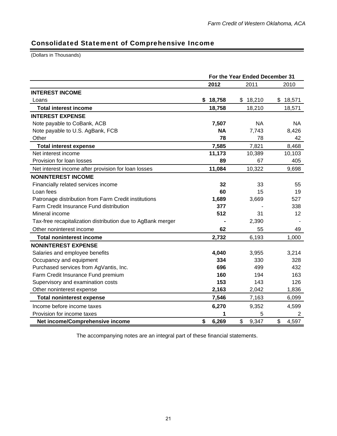# Consolidated Statement of Comprehensive Income

(Dollars in Thousands)

|                                                             | For the Year Ended December 31 |             |                |  |  |
|-------------------------------------------------------------|--------------------------------|-------------|----------------|--|--|
|                                                             | 2012                           | 2011        | 2010           |  |  |
| <b>INTEREST INCOME</b>                                      |                                |             |                |  |  |
| Loans                                                       | \$18,758                       | \$18,210    | 18,571<br>\$   |  |  |
| <b>Total interest income</b>                                | 18,758                         | 18,210      | 18,571         |  |  |
| <b>INTEREST EXPENSE</b>                                     |                                |             |                |  |  |
| Note payable to CoBank, ACB                                 | 7,507                          | <b>NA</b>   | <b>NA</b>      |  |  |
| Note payable to U.S. AgBank, FCB                            | <b>NA</b>                      | 7,743       | 8,426          |  |  |
| Other                                                       | 78                             | 78          | 42             |  |  |
| <b>Total interest expense</b>                               | 7,585                          | 7,821       | 8,468          |  |  |
| Net interest income                                         | 11,173                         | 10,389      | 10,103         |  |  |
| Provision for loan losses                                   | 89                             | 67          | 405            |  |  |
| Net interest income after provision for loan losses         | 11,084                         | 10,322      | 9,698          |  |  |
| <b>NONINTEREST INCOME</b>                                   |                                |             |                |  |  |
| Financially related services income                         | 32                             | 33          | 55             |  |  |
| Loan fees                                                   | 60                             | 15          | 19             |  |  |
| Patronage distribution from Farm Credit institutions        | 1,689                          | 3,669       | 527            |  |  |
| Farm Credit Insurance Fund distribution                     | 377                            |             | 338            |  |  |
| Mineral income                                              | 512                            | 31          | 12             |  |  |
| Tax-free recapitalization distribution due to AgBank merger |                                | 2,390       |                |  |  |
| Other noninterest income                                    | 62                             | 55          | 49             |  |  |
| <b>Total noninterest income</b>                             | 2,732                          | 6,193       | 1,000          |  |  |
| <b>NONINTEREST EXPENSE</b>                                  |                                |             |                |  |  |
| Salaries and employee benefits                              | 4,040                          | 3,955       | 3,214          |  |  |
| Occupancy and equipment                                     | 334                            | 330         | 328            |  |  |
| Purchased services from AgVantis, Inc.                      | 696                            | 499         | 432            |  |  |
| Farm Credit Insurance Fund premium                          | 160                            | 194         | 163            |  |  |
| Supervisory and examination costs                           | 153                            | 143         | 126            |  |  |
| Other noninterest expense                                   | 2,163                          | 2,042       | 1,836          |  |  |
| <b>Total noninterest expense</b>                            | 7,546                          | 7,163       | 6,099          |  |  |
| Income before income taxes                                  | 6,270                          | 9,352       | 4,599          |  |  |
| Provision for income taxes                                  |                                | 5           | $\overline{2}$ |  |  |
| Net income/Comprehensive income                             | \$<br>6,269                    | \$<br>9,347 | \$<br>4,597    |  |  |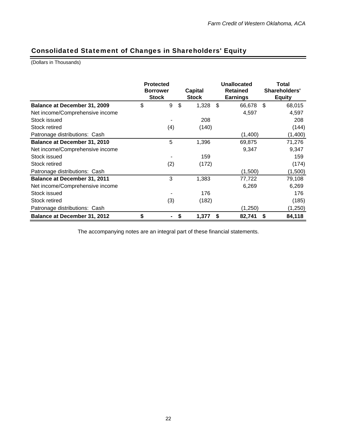# Consolidated Statement of Changes in Shareholders' Equity

(Dollars in Thousands)

|                                     | <b>Protected</b><br><b>Borrower</b><br><b>Stock</b> | Capital<br><b>Stock</b> |      | Unallocated<br><b>Retained</b><br><b>Earnings</b> |     | <b>Total</b><br>Shareholders'<br><b>Equity</b> |
|-------------------------------------|-----------------------------------------------------|-------------------------|------|---------------------------------------------------|-----|------------------------------------------------|
| <b>Balance at December 31, 2009</b> | \$<br>9                                             | \$<br>1,328             | - \$ | 66,678                                            | -\$ | 68,015                                         |
| Net income/Comprehensive income     |                                                     |                         |      | 4,597                                             |     | 4,597                                          |
| Stock issued                        |                                                     | 208                     |      |                                                   |     | 208                                            |
| Stock retired                       | (4)                                                 | (140)                   |      |                                                   |     | (144)                                          |
| Patronage distributions: Cash       |                                                     |                         |      | (1,400)                                           |     | (1,400)                                        |
| <b>Balance at December 31, 2010</b> | 5                                                   | 1,396                   |      | 69,875                                            |     | 71,276                                         |
| Net income/Comprehensive income     |                                                     |                         |      | 9,347                                             |     | 9,347                                          |
| Stock issued                        |                                                     | 159                     |      |                                                   |     | 159                                            |
| Stock retired                       | (2)                                                 | (172)                   |      |                                                   |     | (174)                                          |
| Patronage distributions: Cash       |                                                     |                         |      | (1,500)                                           |     | (1,500)                                        |
| <b>Balance at December 31, 2011</b> | 3                                                   | 1,383                   |      | 77,722                                            |     | 79,108                                         |
| Net income/Comprehensive income     |                                                     |                         |      | 6,269                                             |     | 6,269                                          |
| Stock issued                        |                                                     | 176                     |      |                                                   |     | 176                                            |
| Stock retired                       | (3)                                                 | (182)                   |      |                                                   |     | (185)                                          |
| Patronage distributions: Cash       |                                                     |                         |      | (1,250)                                           |     | (1, 250)                                       |
| <b>Balance at December 31, 2012</b> | \$                                                  | \$<br>1,377             | S    | 82,741                                            | \$  | 84,118                                         |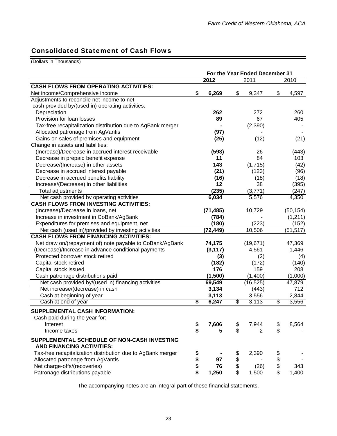÷

# Consolidated Statement of Cash Flows

(Dollars in Thousands)

|                                                             | For the Year Ended December 31 |           |    |                |    |           |
|-------------------------------------------------------------|--------------------------------|-----------|----|----------------|----|-----------|
|                                                             |                                | 2012      |    | 2011           |    | 2010      |
| <b>CASH FLOWS FROM OPERATING ACTIVITIES:</b>                |                                |           |    |                |    |           |
| Net income/Comprehensive income                             | S                              | 6,269     | \$ | 9,347          | \$ | 4,597     |
| Adjustments to reconcile net income to net                  |                                |           |    |                |    |           |
| cash provided by/(used in) operating activities:            |                                |           |    |                |    |           |
| Depreciation                                                |                                | 262       |    | 272            |    | 260       |
| Provision for loan losses                                   |                                | 89        |    | 67             |    | 405       |
| Tax-free recapitalization distribution due to AgBank merger |                                |           |    | (2, 390)       |    |           |
| Allocated patronage from AgVantis                           |                                | (97)      |    |                |    |           |
| Gains on sales of premises and equipment                    |                                | (25)      |    | (12)           |    | (21)      |
| Change in assets and liabilities:                           |                                |           |    |                |    |           |
| (Increase)/Decrease in accrued interest receivable          |                                | (593)     |    | 26             |    | (443)     |
| Decrease in prepaid benefit expense                         |                                | 11        |    | 84             |    | 103       |
| Decrease/(Increase) in other assets                         |                                | 143       |    | (1,715)        |    | (42)      |
| Decrease in accrued interest payable                        |                                | (21)      |    | (123)          |    | (96)      |
| Decrease in accrued benefits liability                      |                                | (16)      |    | (18)           |    | (18)      |
| Increase/(Decrease) in other liabilities                    |                                | 12        |    | 38             |    | (395)     |
| Total adjustments                                           |                                | (235)     |    | (3, 771)       |    | (247)     |
| Net cash provided by operating activities                   |                                | 6,034     |    | 5,576          |    | 4,350     |
| <b>CASH FLOWS FROM INVESTING ACTIVITIES:</b>                |                                |           |    |                |    |           |
| (Increase)/Decrease in loans, net                           |                                | (71, 485) |    | 10,729         |    | (50, 154) |
| Increase in investment in CoBank/AgBank                     |                                | (784)     |    |                |    | (1, 211)  |
| Expenditures for premises and equipment, net                |                                | (180)     |    | (223)          |    | (152)     |
| Net cash (used in)/provided by investing activities         |                                | (72, 449) |    | 10,506         |    | (51, 517) |
| <b>CASH FLOWS FROM FINANCING ACTIVITIES:</b>                |                                |           |    |                |    |           |
| Net draw on/(repayment of) note payable to CoBank/AgBank    |                                | 74,175    |    | (19, 671)      |    | 47,369    |
| (Decrease)/Increase in advance conditional payments         |                                | (3, 117)  |    | 4,561          |    | 1,446     |
| Protected borrower stock retired                            |                                | (3)       |    | (2)            |    | (4)       |
| Capital stock retired                                       |                                | (182)     |    | (172)          |    | (140)     |
| Capital stock issued                                        |                                | 176       |    | 159            |    | 208       |
| Cash patronage distributions paid                           |                                | (1,500)   |    | (1,400)        |    | (1,000)   |
| Net cash provided by/(used in) financing activities         |                                | 69,549    |    | (16, 525)      |    | 47,879    |
| Net increase/(decrease) in cash                             |                                | 3,134     |    | (443)          |    | 712       |
| Cash at beginning of year                                   |                                | 3,113     |    | 3,556          |    | 2,844     |
| Cash at end of year                                         | \$                             | 6,247     | \$ | 3,113          | \$ | 3,556     |
| <b>SUPPLEMENTAL CASH INFORMATION:</b>                       |                                |           |    |                |    |           |
| Cash paid during the year for:                              |                                |           |    |                |    |           |
| Interest                                                    | \$                             | 7,606     | \$ | 7,944          | \$ | 8,564     |
| Income taxes                                                | \$                             | 5         | \$ | $\overline{2}$ | \$ |           |
|                                                             |                                |           |    |                |    |           |
| SUPPLEMENTAL SCHEDULE OF NON-CASH INVESTING                 |                                |           |    |                |    |           |
| <b>AND FINANCING ACTIVITIES:</b>                            |                                |           |    |                |    |           |
| Tax-free recapitalization distribution due to AgBank merger | \$                             |           | \$ | 2,390          | \$ |           |
| Allocated patronage from AgVantis                           | \$                             | 97        | \$ |                | \$ |           |
| Net charge-offs/(recoveries)                                | \$                             | 76        | \$ | (26)           | \$ | 343       |
| Patronage distributions payable                             | \$                             | 1,250     | \$ | 1,500          | \$ | 1,400     |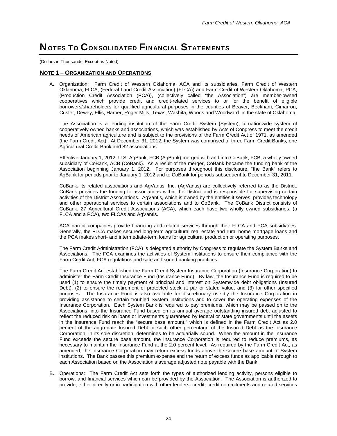# NOTES TO CONSOLIDATED FINANCIAL STATEMENTS

(Dollars in Thousands, Except as Noted)

## **NOTE 1 – ORGANIZATION AND OPERATIONS**

A. Organization: Farm Credit of Western Oklahoma, ACA and its subsidiaries, Farm Credit of Western Oklahoma, FLCA, (Federal Land Credit Association) (FLCA)) and Farm Credit of Western Oklahoma, PCA, (Production Credit Association (PCA)), (collectively called "the Association") are member-owned cooperatives which provide credit and credit-related services to or for the benefit of eligible borrowers/shareholders for qualified agricultural purposes in the counties of Beaver, Beckham, Cimarron, Custer, Dewey, Ellis, Harper, Roger Mills, Texas, Washita, Woods and Woodward in the state of Oklahoma.

The Association is a lending institution of the Farm Credit System (System), a nationwide system of cooperatively owned banks and associations, which was established by Acts of Congress to meet the credit needs of American agriculture and is subject to the provisions of the Farm Credit Act of 1971, as amended (the Farm Credit Act). At December 31, 2012, the System was comprised of three Farm Credit Banks, one Agricultural Credit Bank and 82 associations.

Effective January 1, 2012, U.S. AgBank, FCB (AgBank) merged with and into CoBank, FCB, a wholly owned subsidiary of CoBank, ACB (CoBank). As a result of the merger, CoBank became the funding bank of the Association beginning January 1, 2012. For purposes throughout this disclosure, "the Bank" refers to AgBank for periods prior to January 1, 2012 and to CoBank for periods subsequent to December 31, 2011.

CoBank, its related associations and AgVantis, Inc. (AgVantis) are collectively referred to as the District. CoBank provides the funding to associations within the District and is responsible for supervising certain activities of the District Associations. AgVantis, which is owned by the entities it serves, provides technology and other operational services to certain associations and to CoBank. The CoBank District consists of CoBank, 27 Agricultural Credit Associations (ACA), which each have two wholly owned subsidiaries, (a FLCA and a PCA), two FLCAs and AgVantis.

ACA parent companies provide financing and related services through their FLCA and PCA subsidiaries. Generally, the FLCA makes secured long-term agricultural real estate and rural home mortgage loans and the PCA makes short- and intermediate-term loans for agricultural production or operating purposes.

The Farm Credit Administration (FCA) is delegated authority by Congress to regulate the System Banks and Associations. The FCA examines the activities of System institutions to ensure their compliance with the Farm Credit Act, FCA regulations and safe and sound banking practices.

The Farm Credit Act established the Farm Credit System Insurance Corporation (Insurance Corporation) to administer the Farm Credit Insurance Fund (Insurance Fund). By law, the Insurance Fund is required to be used (1) to ensure the timely payment of principal and interest on Systemwide debt obligations (Insured Debt), (2) to ensure the retirement of protected stock at par or stated value, and (3) for other specified purposes. The Insurance Fund is also available for discretionary use by the Insurance Corporation in providing assistance to certain troubled System institutions and to cover the operating expenses of the Insurance Corporation. Each System Bank is required to pay premiums, which may be passed on to the Associations, into the Insurance Fund based on its annual average outstanding insured debt adjusted to reflect the reduced risk on loans or investments guaranteed by federal or state governments until the assets in the Insurance Fund reach the "secure base amount," which is defined in the Farm Credit Act as 2.0 percent of the aggregate Insured Debt or such other percentage of the Insured Debt as the Insurance Corporation, in its sole discretion, determines to be actuarially sound. When the amount in the Insurance Fund exceeds the secure base amount, the Insurance Corporation is required to reduce premiums, as necessary to maintain the Insurance Fund at the 2.0 percent level. As required by the Farm Credit Act, as amended, the Insurance Corporation may return excess funds above the secure base amount to System institutions. The Bank passes this premium expense and the return of excess funds as applicable through to each Association based on the Association's average adjusted note payable with the Bank.

B. Operations: The Farm Credit Act sets forth the types of authorized lending activity, persons eligible to borrow, and financial services which can be provided by the Association. The Association is authorized to provide, either directly or in participation with other lenders, credit, credit commitments and related services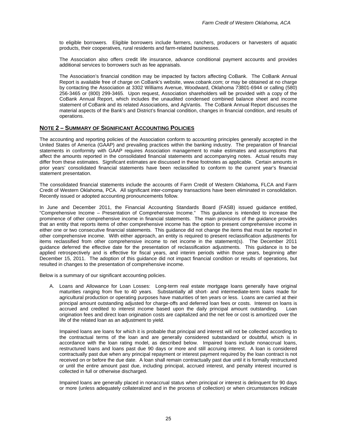to eligible borrowers. Eligible borrowers include farmers, ranchers, producers or harvesters of aquatic products, their cooperatives, rural residents and farm-related businesses.

The Association also offers credit life insurance, advance conditional payment accounts and provides additional services to borrowers such as fee appraisals.

The Association's financial condition may be impacted by factors affecting CoBank. The CoBank Annual Report is available free of charge on CoBank's website, www.cobank.com; or may be obtained at no charge by contacting the Association at 3302 Williams Avenue, Woodward, Oklahoma 73801-6944 or calling (580) 256-3465 or (800) 299-3465. Upon request, Association shareholders will be provided with a copy of the CoBank Annual Report, which includes the unaudited condensed combined balance sheet and income statement of CoBank and its related Associations, and AgVantis. The CoBank Annual Report discusses the material aspects of the Bank's and District's financial condition, changes in financial condition, and results of operations.

### **NOTE 2 – SUMMARY OF SIGNIFICANT ACCOUNTING POLICIES**

The accounting and reporting policies of the Association conform to accounting principles generally accepted in the United States of America (GAAP) and prevailing practices within the banking industry. The preparation of financial statements in conformity with GAAP requires Association management to make estimates and assumptions that affect the amounts reported in the consolidated financial statements and accompanying notes. Actual results may differ from these estimates. Significant estimates are discussed in these footnotes as applicable. Certain amounts in prior years' consolidated financial statements have been reclassified to conform to the current year's financial statement presentation.

The consolidated financial statements include the accounts of Farm Credit of Western Oklahoma, FLCA and Farm Credit of Western Oklahoma, PCA. All significant inter-company transactions have been eliminated in consolidation. Recently issued or adopted accounting pronouncements follow.

In June and December 2011, the Financial Accounting Standards Board (FASB) issued guidance entitled, "Comprehensive Income – Presentation of Comprehensive Income." This guidance is intended to increase the prominence of other comprehensive income in financial statements. The main provisions of the guidance provides that an entity that reports items of other comprehensive income has the option to present comprehensive income in either one or two consecutive financial statements. This guidance did not change the items that must be reported in other comprehensive income. With either approach, an entity is required to present reclassification adjustments for items reclassified from other comprehensive income to net income in the statement(s). The December 2011 guidance deferred the effective date for the presentation of reclassification adjustments. This guidance is to be applied retrospectively and is effective for fiscal years, and interim periods within those years, beginning after December 15, 2011. The adoption of this guidance did not impact financial condition or results of operations, but resulted in changes to the presentation of comprehensive income.

Below is a summary of our significant accounting policies.

A. Loans and Allowance for Loan Losses: Long-term real estate mortgage loans generally have original maturities ranging from five to 40 years. Substantially all short- and intermediate-term loans made for agricultural production or operating purposes have maturities of ten years or less. Loans are carried at their principal amount outstanding adjusted for charge-offs and deferred loan fees or costs. Interest on loans is accrued and credited to interest income based upon the daily principal amount outstanding. Loan origination fees and direct loan origination costs are capitalized and the net fee or cost is amortized over the life of the related loan as an adjustment to yield.

Impaired loans are loans for which it is probable that principal and interest will not be collected according to the contractual terms of the loan and are generally considered substandard or doubtful, which is in accordance with the loan rating model, as described below. Impaired loans include nonaccrual loans, restructured loans and loans past due 90 days or more and still accruing interest. A loan is considered contractually past due when any principal repayment or interest payment required by the loan contract is not received on or before the due date. A loan shall remain contractually past due until it is formally restructured or until the entire amount past due, including principal, accrued interest, and penalty interest incurred is collected in full or otherwise discharged.

Impaired loans are generally placed in nonaccrual status when principal or interest is delinquent for 90 days or more (unless adequately collateralized and in the process of collection) or when circumstances indicate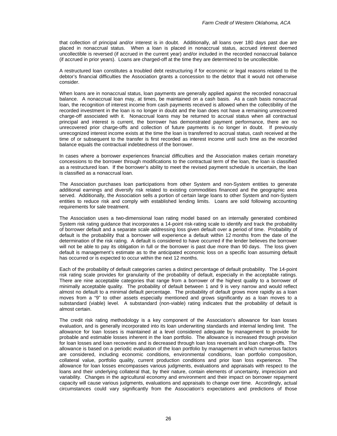that collection of principal and/or interest is in doubt. Additionally, all loans over 180 days past due are placed in nonaccrual status. When a loan is placed in nonaccrual status, accrued interest deemed uncollectible is reversed (if accrued in the current year) and/or included in the recorded nonaccrual balance (if accrued in prior years). Loans are charged-off at the time they are determined to be uncollectible.

A restructured loan constitutes a troubled debt restructuring if for economic or legal reasons related to the debtor's financial difficulties the Association grants a concession to the debtor that it would not otherwise consider.

When loans are in nonaccrual status, loan payments are generally applied against the recorded nonaccrual balance. A nonaccrual loan may, at times, be maintained on a cash basis. As a cash basis nonaccrual loan, the recognition of interest income from cash payments received is allowed when the collectibility of the recorded investment in the loan is no longer in doubt and the loan does not have a remaining unrecovered charge-off associated with it. Nonaccrual loans may be returned to accrual status when all contractual principal and interest is current, the borrower has demonstrated payment performance, there are no unrecovered prior charge-offs and collection of future payments is no longer in doubt. If previously unrecognized interest income exists at the time the loan is transferred to accrual status, cash received at the time of or subsequent to the transfer is first recorded as interest income until such time as the recorded balance equals the contractual indebtedness of the borrower.

In cases where a borrower experiences financial difficulties and the Association makes certain monetary concessions to the borrower through modifications to the contractual term of the loan, the loan is classified as a restructured loan. If the borrower's ability to meet the revised payment schedule is uncertain, the loan is classified as a nonaccrual loan.

The Association purchases loan participations from other System and non-System entities to generate additional earnings and diversify risk related to existing commodities financed and the geographic area served. Additionally, the Association sells a portion of certain large loans to other System and non-System entities to reduce risk and comply with established lending limits. Loans are sold following accounting requirements for sale treatment.

The Association uses a two-dimensional loan rating model based on an internally generated combined System risk rating guidance that incorporates a 14-point risk-rating scale to identify and track the probability of borrower default and a separate scale addressing loss given default over a period of time. Probability of default is the probability that a borrower will experience a default within 12 months from the date of the determination of the risk rating. A default is considered to have occurred if the lender believes the borrower will not be able to pay its obligation in full or the borrower is past due more than 90 days. The loss given default is management's estimate as to the anticipated economic loss on a specific loan assuming default has occurred or is expected to occur within the next 12 months.

Each of the probability of default categories carries a distinct percentage of default probability. The 14-point risk rating scale provides for granularity of the probability of default, especially in the acceptable ratings. There are nine acceptable categories that range from a borrower of the highest quality to a borrower of minimally acceptable quality. The probability of default between 1 and 9 is very narrow and would reflect almost no default to a minimal default percentage. The probability of default grows more rapidly as a loan moves from a "9" to other assets especially mentioned and grows significantly as a loan moves to a substandard (viable) level. A substandard (non-viable) rating indicates that the probability of default is almost certain.

The credit risk rating methodology is a key component of the Association's allowance for loan losses evaluation, and is generally incorporated into its loan underwriting standards and internal lending limit. The allowance for loan losses is maintained at a level considered adequate by management to provide for probable and estimable losses inherent in the loan portfolio. The allowance is increased through provision for loan losses and loan recoveries and is decreased through loan loss reversals and loan charge-offs. The allowance is based on a periodic evaluation of the loan portfolio by management in which numerous factors are considered, including economic conditions, environmental conditions, loan portfolio composition, collateral value, portfolio quality, current production conditions and prior loan loss experience. The allowance for loan losses encompasses various judgments, evaluations and appraisals with respect to the loans and their underlying collateral that, by their nature, contain elements of uncertainty, imprecision and variability. Changes in the agricultural economy and environment and their impact on borrower repayment capacity will cause various judgments, evaluations and appraisals to change over time. Accordingly, actual circumstances could vary significantly from the Association's expectations and predictions of those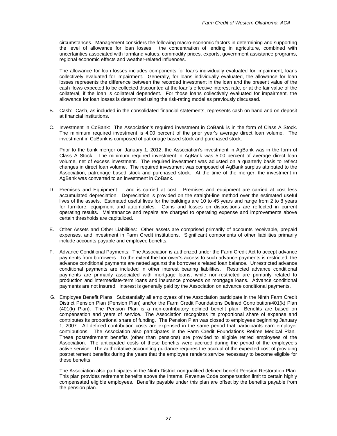circumstances. Management considers the following macro-economic factors in determining and supporting the level of allowance for loan losses: the concentration of lending in agriculture, combined with uncertainties associated with farmland values, commodity prices, exports, government assistance programs, regional economic effects and weather-related influences.

The allowance for loan losses includes components for loans individually evaluated for impairment, loans collectively evaluated for impairment. Generally, for loans individually evaluated, the allowance for loan losses represents the difference between the recorded investment in the loan and the present value of the cash flows expected to be collected discounted at the loan's effective interest rate, or at the fair value of the collateral, if the loan is collateral dependent. For those loans collectively evaluated for impairment, the allowance for loan losses is determined using the risk-rating model as previously discussed.

- B. Cash: Cash, as included in the consolidated financial statements, represents cash on hand and on deposit at financial institutions.
- C. Investment in CoBank: The Association's required investment in CoBank is in the form of Class A Stock. The minimum required investment is 4.00 percent of the prior year's average direct loan volume. The investment in CoBank is composed of patronage based stock and purchased stock.

 Prior to the bank merger on January 1, 2012, the Association's investment in AgBank was in the form of Class A Stock. The minimum required investment in AgBank was 5.00 percent of average direct loan volume, net of excess investment. The required investment was adjusted on a quarterly basis to reflect changes in direct loan volume. The required investment was composed of AgBank surplus attributed to the Association, patronage based stock and purchased stock. At the time of the merger, the investment in AgBank was converted to an investment in CoBank.

- D. Premises and Equipment: Land is carried at cost. Premises and equipment are carried at cost less accumulated depreciation. Depreciation is provided on the straight-line method over the estimated useful lives of the assets. Estimated useful lives for the buildings are 10 to 45 years and range from 2 to 8 years for furniture, equipment and automobiles. Gains and losses on dispositions are reflected in current operating results. Maintenance and repairs are charged to operating expense and improvements above certain thresholds are capitalized.
- E. Other Assets and Other Liabilities: Other assets are comprised primarily of accounts receivable, prepaid expenses, and investment in Farm Credit institutions. Significant components of other liabilities primarily include accounts payable and employee benefits.
- F. Advance Conditional Payments: The Association is authorized under the Farm Credit Act to accept advance payments from borrowers. To the extent the borrower's access to such advance payments is restricted, the advance conditional payments are netted against the borrower's related loan balance. Unrestricted advance conditional payments are included in other interest bearing liabilities. Restricted advance conditional payments are primarily associated with mortgage loans, while non-restricted are primarily related to production and intermediate-term loans and insurance proceeds on mortgage loans. Advance conditional payments are not insured. Interest is generally paid by the Association on advance conditional payments.
- G. Employee Benefit Plans: Substantially all employees of the Association participate in the Ninth Farm Credit District Pension Plan (Pension Plan) and/or the Farm Credit Foundations Defined Contribution/401(k) Plan (401(k) Plan). The Pension Plan is a non-contributory defined benefit plan. Benefits are based on compensation and years of service. The Association recognizes its proportional share of expense and contributes its proportional share of funding. The Pension Plan was closed to employees beginning January 1, 2007. All defined contribution costs are expensed in the same period that participants earn employer contributions. The Association also participates in the Farm Credit Foundations Retiree Medical Plan. These postretirement benefits (other than pensions) are provided to eligible retired employees of the Association. The anticipated costs of these benefits were accrued during the period of the employee's active service. The authoritative accounting guidance requires the accrual of the expected cost of providing postretirement benefits during the years that the employee renders service necessary to become eligible for these benefits.

The Association also participates in the Ninth District nonqualified defined benefit Pension Restoration Plan. This plan provides retirement benefits above the Internal Revenue Code compensation limit to certain highly compensated eligible employees. Benefits payable under this plan are offset by the benefits payable from the pension plan.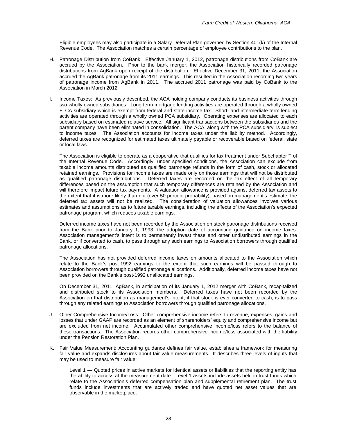Eligible employees may also participate in a Salary Deferral Plan governed by Section 401(k) of the Internal Revenue Code. The Association matches a certain percentage of employee contributions to the plan.

- H. Patronage Distribution from CoBank: Effective January 1, 2012, patronage distributions from CoBank are accrued by the Association. Prior to the bank merger, the Association historically recorded patronage distributions from AgBank upon receipt of the distribution. Effective December 31, 2011, the Association accrued the AgBank patronage from its 2011 earnings. This resulted in the Association recording two years of patronage income from AgBank in 2011. The accrued 2011 patronage was paid by CoBank to the Association in March 2012.
- I. Income Taxes: As previously described, the ACA holding company conducts its business activities through two wholly owned subsidiaries. Long-term mortgage lending activities are operated through a wholly owned FLCA subsidiary which is exempt from federal and state income tax. Short- and intermediate-term lending activities are operated through a wholly owned PCA subsidiary. Operating expenses are allocated to each subsidiary based on estimated relative service. All significant transactions between the subsidiaries and the parent company have been eliminated in consolidation. The ACA, along with the PCA subsidiary, is subject to income taxes. The Association accounts for income taxes under the liability method. Accordingly, deferred taxes are recognized for estimated taxes ultimately payable or recoverable based on federal, state or local laws.

The Association is eligible to operate as a cooperative that qualifies for tax treatment under Subchapter T of the Internal Revenue Code. Accordingly, under specified conditions, the Association can exclude from taxable income amounts distributed as qualified patronage refunds in the form of cash, stock or allocated retained earnings. Provisions for income taxes are made only on those earnings that will not be distributed as qualified patronage distributions. Deferred taxes are recorded on the tax effect of all temporary differences based on the assumption that such temporary differences are retained by the Association and will therefore impact future tax payments. A valuation allowance is provided against deferred tax assets to the extent that it is more likely than not (over 50 percent probability), based on management's estimate, the deferred tax assets will not be realized. The consideration of valuation allowances involves various estimates and assumptions as to future taxable earnings, including the effects of the Association's expected patronage program, which reduces taxable earnings.

Deferred income taxes have not been recorded by the Association on stock patronage distributions received from the Bank prior to January 1, 1993, the adoption date of accounting guidance on income taxes. Association management's intent is to permanently invest these and other undistributed earnings in the Bank, or if converted to cash, to pass through any such earnings to Association borrowers through qualified patronage allocations.

The Association has not provided deferred income taxes on amounts allocated to the Association which relate to the Bank's post-1992 earnings to the extent that such earnings will be passed through to Association borrowers through qualified patronage allocations. Additionally, deferred income taxes have not been provided on the Bank's post-1992 unallocated earnings.

On December 31, 2011, AgBank, in anticipation of its January 1, 2012 merger with CoBank, recapitalized and distributed stock to its Association members. Deferred taxes have not been recorded by the Association on that distribution as management's intent, if that stock is ever converted to cash, is to pass through any related earnings to Association borrowers through qualified patronage allocations.

- J. Other Comprehensive Income/Loss: Other comprehensive income refers to revenue, expenses, gains and losses that under GAAP are recorded as an element of shareholders' equity and comprehensive income but are excluded from net income. Accumulated other comprehensive income/loss refers to the balance of these transactions. The Association records other comprehensive income/loss associated with the liability under the Pension Restoration Plan.
- K. Fair Value Measurement: Accounting guidance defines fair value, establishes a framework for measuring fair value and expands disclosures about fair value measurements. It describes three levels of inputs that may be used to measure fair value:

Level 1 — Quoted prices in active markets for identical assets or liabilities that the reporting entity has the ability to access at the measurement date. Level 1 assets include assets held in trust funds which relate to the Association's deferred compensation plan and supplemental retirement plan. The trust funds include investments that are actively traded and have quoted net asset values that are observable in the marketplace.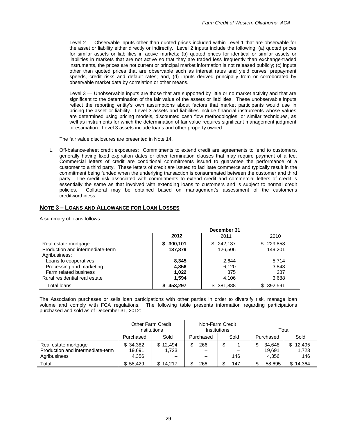Level 2 — Observable inputs other than quoted prices included within Level 1 that are observable for the asset or liability either directly or indirectly. Level 2 inputs include the following: (a) quoted prices for similar assets or liabilities in active markets; (b) quoted prices for identical or similar assets or liabilities in markets that are not active so that they are traded less frequently than exchange-traded instruments, the prices are not current or principal market information is not released publicly; (c) inputs other than quoted prices that are observable such as interest rates and yield curves, prepayment speeds, credit risks and default rates; and, (d) inputs derived principally from or corroborated by observable market data by correlation or other means.

Level 3 — Unobservable inputs are those that are supported by little or no market activity and that are significant to the determination of the fair value of the assets or liabilities. These unobservable inputs reflect the reporting entity's own assumptions about factors that market participants would use in pricing the asset or liability. Level 3 assets and liabilities include financial instruments whose values are determined using pricing models, discounted cash flow methodologies, or similar techniques, as well as instruments for which the determination of fair value requires significant management judgment or estimation. Level 3 assets include loans and other property owned.

The fair value disclosures are presented in Note 14.

L. Off-balance-sheet credit exposures: Commitments to extend credit are agreements to lend to customers, generally having fixed expiration dates or other termination clauses that may require payment of a fee. Commercial letters of credit are conditional commitments issued to guarantee the performance of a customer to a third party. These letters of credit are issued to facilitate commerce and typically result in the commitment being funded when the underlying transaction is consummated between the customer and third party. The credit risk associated with commitments to extend credit and commercial letters of credit is essentially the same as that involved with extending loans to customers and is subject to normal credit policies. Collateral may be obtained based on management's assessment of the customer's creditworthiness.

# **NOTE 3 – LOANS AND ALLOWANCE FOR LOAN LOSSES**

A summary of loans follows.

|                                  | December 31 |           |            |  |  |  |
|----------------------------------|-------------|-----------|------------|--|--|--|
|                                  | 2012        | 2011      | 2010       |  |  |  |
| Real estate mortgage             | \$300,101   | \$242,137 | \$229,858  |  |  |  |
| Production and intermediate-term | 137,879     | 126,506   | 149.201    |  |  |  |
| Agribusiness:                    |             |           |            |  |  |  |
| Loans to cooperatives            | 8.345       | 2,644     | 5.714      |  |  |  |
| Processing and marketing         | 4,356       | 6,120     | 3,843      |  |  |  |
| Farm related business            | 1,022       | 375       | 287        |  |  |  |
| Rural residential real estate    | 1,594       | 4,106     | 3,688      |  |  |  |
| Total loans                      | 453,297     | \$381,888 | \$ 392,591 |  |  |  |

The Association purchases or sells loan participations with other parties in order to diversify risk, manage loan volume and comply with FCA regulations. The following table presents information regarding participations purchased and sold as of December 31, 2012:

|                                  | <b>Other Farm Credit</b><br>Institutions |              |           | Non-Farm Credit<br>Institutions | Total     |          |  |  |
|----------------------------------|------------------------------------------|--------------|-----------|---------------------------------|-----------|----------|--|--|
|                                  | Purchased                                | Sold         | Purchased | Sold                            | Purchased | Sold     |  |  |
| Real estate mortgage             | \$34,382                                 | \$12,494     | 266       |                                 | 34.648    | \$12,495 |  |  |
| Production and intermediate-term | 19.691                                   | 1,723        |           |                                 | 19.691    | 1,723    |  |  |
| Agribusiness                     | 4,356                                    |              |           | 146                             | 4.356     | 146      |  |  |
| Total                            | \$58.429                                 | 14.217<br>\$ | 266       | 147                             | 58.695    | \$14,364 |  |  |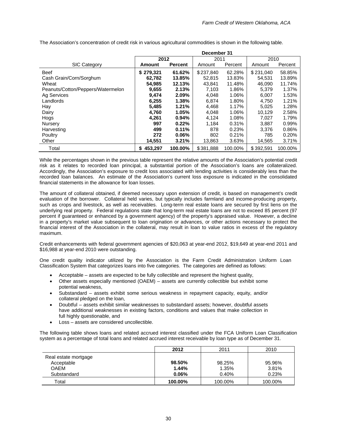|                                   | December 31   |                |           |         |           |         |  |  |
|-----------------------------------|---------------|----------------|-----------|---------|-----------|---------|--|--|
|                                   | 2012          |                | 2011      |         | 2010      |         |  |  |
| <b>SIC Category</b>               | Amount        | <b>Percent</b> | Amount    | Percent | Amount    | Percent |  |  |
| <b>Beef</b>                       | \$279.321     | 61.62%         | \$237,840 | 62.28%  | \$231,040 | 58.85%  |  |  |
| Cash Grain/Corn/Sorghum           | 62.782        | 13.85%         | 52.815    | 13.83%  | 54.531    | 13.89%  |  |  |
| Wheat                             | 54,985        | 12.13%         | 43.841    | 11.48%  | 46,090    | 11.74%  |  |  |
| Peanuts/Cotton/Peppers/Watermelon | 9,655         | 2.13%          | 7,103     | 1.86%   | 5,379     | 1.37%   |  |  |
| Ag Services                       | 9,474         | 2.09%          | 4,048     | 1.06%   | 6,007     | 1.53%   |  |  |
| Landlords                         | 6,255         | 1.38%          | 6,874     | 1.80%   | 4,750     | 1.21%   |  |  |
| Hay                               | 5,485         | 1.21%          | 4,468     | 1.17%   | 5,025     | 1.28%   |  |  |
| Dairy                             | 4,760         | 1.05%          | 4,048     | 1.06%   | 10,129    | 2.58%   |  |  |
| Hogs                              | 4,261         | 0.94%          | 4,124     | 1.08%   | 7,027     | 1.79%   |  |  |
| Nursery                           | 997           | 0.22%          | 1,184     | 0.31%   | 3,887     | 0.99%   |  |  |
| Harvesting                        | 499           | 0.11%          | 878       | 0.23%   | 3,376     | 0.86%   |  |  |
| Poultry                           | 272           | 0.06%          | 802       | 0.21%   | 785       | 0.20%   |  |  |
| Other                             | 14,551        | 3.21%          | 13,863    | 3.63%   | 14,565    | 3.71%   |  |  |
| Total                             | 453,297<br>\$ | 100.00%        | \$381.888 | 100.00% | \$392.591 | 100.00% |  |  |

The Association's concentration of credit risk in various agricultural commodities is shown in the following table.

While the percentages shown in the previous table represent the relative amounts of the Association's potential credit risk as it relates to recorded loan principal, a substantial portion of the Association's loans are collateralized. Accordingly, the Association's exposure to credit loss associated with lending activities is considerably less than the recorded loan balances. An estimate of the Association's current loss exposure is indicated in the consolidated financial statements in the allowance for loan losses.

The amount of collateral obtained, if deemed necessary upon extension of credit, is based on management's credit evaluation of the borrower. Collateral held varies, but typically includes farmland and income-producing property, such as crops and livestock, as well as receivables. Long-term real estate loans are secured by first liens on the underlying real property. Federal regulations state that long-term real estate loans are not to exceed 85 percent (97 percent if guaranteed or enhanced by a government agency) of the property's appraised value. However, a decline in a property's market value subsequent to loan origination or advances, or other actions necessary to protect the financial interest of the Association in the collateral, may result in loan to value ratios in excess of the regulatory maximum.

Credit enhancements with federal government agencies of \$20,063 at year-end 2012, \$19,649 at year-end 2011 and \$16,988 at year-end 2010 were outstanding.

One credit quality indicator utilized by the Association is the Farm Credit Administration Uniform Loan Classification System that categorizes loans into five categories. The categories are defined as follows:

- Acceptable assets are expected to be fully collectible and represent the highest quality,
- Other assets especially mentioned (OAEM) assets are currently collectible but exhibit some potential weakness,
- Substandard assets exhibit some serious weakness in repayment capacity, equity, and/or collateral pledged on the loan,
- Doubtful assets exhibit similar weaknesses to substandard assets; however, doubtful assets have additional weaknesses in existing factors, conditions and values that make collection in full highly questionable, and
- Loss assets are considered uncollectible.

The following table shows loans and related accrued interest classified under the FCA Uniform Loan Classification system as a percentage of total loans and related accrued interest receivable by loan type as of December 31.

|                      | 2012     | 2011    | 2010    |
|----------------------|----------|---------|---------|
| Real estate mortgage |          |         |         |
| Acceptable           | 98.50%   | 98.25%  | 95.96%  |
| <b>OAEM</b>          | 1.44%    | 1.35%   | 3.81%   |
| Substandard          | $0.06\%$ | 0.40%   | 0.23%   |
| Total                | 100.00%  | 100.00% | 100.00% |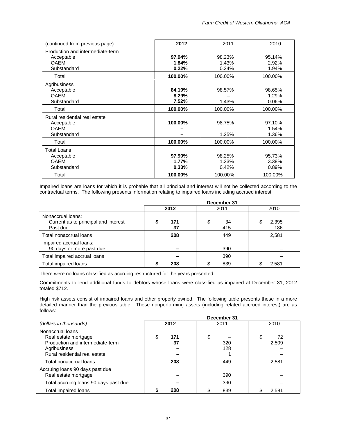| (continued from previous page)                                                        | 2012                                | 2011                                | 2010                                |
|---------------------------------------------------------------------------------------|-------------------------------------|-------------------------------------|-------------------------------------|
| Production and intermediate-term<br>Acceptable<br><b>OAEM</b><br>Substandard<br>Total | 97.94%<br>1.84%<br>0.22%<br>100.00% | 98.23%<br>1.43%<br>0.34%<br>100.00% | 95.14%<br>2.92%<br>1.94%<br>100.00% |
| Agribusiness<br>Acceptable<br><b>OAEM</b><br>Substandard                              | 84.19%<br>8.29%<br>7.52%            | 98.57%<br>1.43%                     | 98.65%<br>1.29%<br>0.06%            |
| Total                                                                                 | 100.00%                             | 100.00%                             | 100.00%                             |
| Rural residential real estate<br>Acceptable<br><b>OAEM</b><br>Substandard             | 100.00%                             | 98.75%<br>1.25%                     | 97.10%<br>1.54%<br>1.36%            |
| Total                                                                                 | 100.00%                             | 100.00%                             | 100.00%                             |
| <b>Total Loans</b><br>Acceptable<br><b>OAEM</b><br>Substandard                        | 97.90%<br>1.77%<br>0.33%            | 98.25%<br>1.33%<br>0.42%            | 95.73%<br>3.38%<br>0.89%            |
| Total                                                                                 | 100.00%                             | 100.00%                             | 100.00%                             |

Impaired loans are loans for which it is probable that all principal and interest will not be collected according to the contractual terms. The following presents information relating to impaired loans including accrued interest.

|                                                                       | December 31 |                 |              |  |  |
|-----------------------------------------------------------------------|-------------|-----------------|--------------|--|--|
|                                                                       | 2012        | 2011            | 2010         |  |  |
| Nonaccrual loans:<br>Current as to principal and interest<br>Past due | 171<br>37   | \$<br>34<br>415 | 2,395<br>186 |  |  |
| Total nonaccrual loans                                                | 208         | 449             | 2,581        |  |  |
| Impaired accrual loans:<br>90 days or more past due                   |             | 390             |              |  |  |
| Total impaired accrual loans                                          |             | 390             |              |  |  |
| Total impaired loans                                                  | 208         | 839             | 2,581        |  |  |

There were no loans classified as accruing restructured for the years presented.

Commitments to lend additional funds to debtors whose loans were classified as impaired at December 31, 2012 totaled \$712.

High risk assets consist of impaired loans and other property owned. The following table presents these in a more detailed manner than the previous table. These nonperforming assets (including related accrued interest) are as follows:

| (dollars in thousands)                                                                                                        | 2012           | 2011             | 2010              |
|-------------------------------------------------------------------------------------------------------------------------------|----------------|------------------|-------------------|
| Nonaccrual loans<br>Real estate mortgage<br>Production and intermediate-term<br>Agribusiness<br>Rural residential real estate | 171<br>S<br>37 | \$<br>320<br>128 | \$<br>72<br>2,509 |
| Total nonaccrual loans                                                                                                        | 208            | 449              | 2,581             |
| Accruing loans 90 days past due<br>Real estate mortgage                                                                       |                | 390              |                   |
| Total accruing loans 90 days past due                                                                                         |                | 390              |                   |
| Total impaired loans                                                                                                          | 208            | 839              | 2,581             |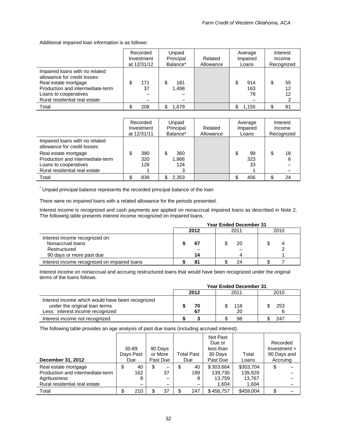Additional impaired loan information is as follows:

|                                                                                                                                                                                      |     | Recorded<br>Investment<br>at 12/31/12 | Unpaid<br>Principal<br>Balance* | Related<br>Allowance |     | Average<br>Impaired<br>Loans |   | Interest<br>Income<br>Recognized |
|--------------------------------------------------------------------------------------------------------------------------------------------------------------------------------------|-----|---------------------------------------|---------------------------------|----------------------|-----|------------------------------|---|----------------------------------|
| Impaired loans with no related<br>allowance for credit losses:<br>Real estate mortgage<br>Production and intermediate-term<br>Loans to cooperatives<br>Rural residential real estate | \$  | 171<br>37                             | \$<br>181<br>1.498              |                      | S   | 914<br>163<br>78             | S | 55<br>12<br>12<br>2              |
| Total                                                                                                                                                                                | \$. | 208                                   | \$<br>1,679                     |                      | \$. | 1,155                        |   | 81                               |

|                                                                                                                    |    | Recorded<br>Investment<br>at 12/31/11 | Unpaid<br>Principal<br>Balance* | Related<br>Allowance |   | Average<br>Impaired<br>Loans |   | Interest<br>Income<br>Recognized |
|--------------------------------------------------------------------------------------------------------------------|----|---------------------------------------|---------------------------------|----------------------|---|------------------------------|---|----------------------------------|
| Impaired loans with no related<br>allowance for credit losses:                                                     |    |                                       |                                 |                      |   |                              |   |                                  |
| Real estate mortgage<br>Production and intermediate-term<br>Loans to cooperatives<br>Rural residential real estate | \$ | 390<br>320<br>128                     | \$<br>360<br>1,866<br>124       |                      | S | 99<br>323<br>33              | S | 18<br>6                          |
| Total                                                                                                              | c  | 839                                   | 2.353                           |                      |   | 456                          |   | 24                               |

\* Unpaid principal balance represents the recorded principal balance of the loan

There were no impaired loans with a related allowance for the periods presented.

Interest income is recognized and cash payments are applied on nonaccrual impaired loans as described in Note 2. The following table presents interest income recognized on impaired loans.

|                                              | <b>Year Ended December 31</b> |      |      |  |  |  |  |
|----------------------------------------------|-------------------------------|------|------|--|--|--|--|
|                                              | 2012                          | 2011 | 2010 |  |  |  |  |
| Interest income recognized on:               |                               |      |      |  |  |  |  |
| Nonaccrual loans                             |                               | 20   |      |  |  |  |  |
| Restructured                                 |                               |      |      |  |  |  |  |
| 90 days or more past due                     | 14                            |      |      |  |  |  |  |
| Interest income recognized on impaired loans |                               | 24   |      |  |  |  |  |

Interest income on nonaccrual and accruing restructured loans that would have been recognized under the original terms of the loans follows.

|                                                                                                                       | <b>Year Ended December 31</b> |           |      |  |  |  |
|-----------------------------------------------------------------------------------------------------------------------|-------------------------------|-----------|------|--|--|--|
|                                                                                                                       | 2012                          | 2011      | 2010 |  |  |  |
| Interest income which would have been recognized<br>under the original loan terms<br>Less: interest income recognized | 70                            | 118<br>20 | 253  |  |  |  |
| Interest income not recognized                                                                                        |                               | 98        | 247  |  |  |  |

The following table provides an age analysis of past due loans (including accrued interest).

|                                  | 30-89<br>Days Past | 90 Days<br>or More |          | <b>Total Past</b> |                 |           |           | Not Past<br>Due or<br>less than<br>30 Days | Total | Recorded<br>Investment ><br>90 Days and |  |
|----------------------------------|--------------------|--------------------|----------|-------------------|-----------------|-----------|-----------|--------------------------------------------|-------|-----------------------------------------|--|
| December 31, 2012                | Due                |                    | Past Due |                   | Past Due<br>Due |           | Loans     | Accruing                                   |       |                                         |  |
| Real estate mortgage             | \$<br>40           | \$                 | —        | \$                | 40              | \$303,664 | \$303,704 | \$                                         |       |                                         |  |
| Production and intermediate-term | 162                |                    | 37       |                   | 199             | 139,730   | 139,929   |                                            |       |                                         |  |
| Agribusiness                     | 8                  |                    |          |                   | 8               | 13,759    | 13,767    |                                            |       |                                         |  |
| Rural residential real estate    |                    |                    | -        |                   |                 | 1,604     | 1,604     |                                            |       |                                         |  |
| Total                            | \$<br>210          |                    | 37       | \$.               | 247             | \$458,757 | \$459,004 | \$                                         |       |                                         |  |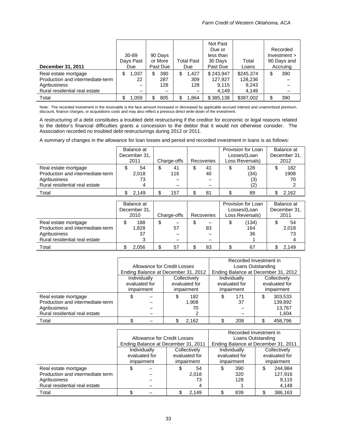| December 31, 2011                | 30-89<br>Days Past | 90 Days<br>or More<br>Past Due | <b>Total Past</b> | Not Past<br>Due or<br>less than<br>30 Days<br>Past Due | Total     | Recorded<br>Investment<br>90 Days and |
|----------------------------------|--------------------|--------------------------------|-------------------|--------------------------------------------------------|-----------|---------------------------------------|
|                                  | Due                |                                | Due               |                                                        | Loans     | Accruing                              |
| Real estate mortgage             | 1,037<br>\$        | 390<br>\$                      | 1,427<br>S        | \$243.947                                              | \$245,374 | \$<br>390                             |
| Production and intermediate-term | 22                 | 287                            | 309               | 127,927                                                | 128,236   |                                       |
| Agribusiness                     |                    | 128                            | 128               | 9.115                                                  | 9,243     |                                       |
| Rural residential real estate    |                    |                                |                   | 4.149                                                  | 4,149     |                                       |
| Total                            | 1,059              | 805                            | 1,864             | \$385,138                                              | \$387,002 | S<br>390                              |

Note: The recorded investment in the receivable is the face amount increased or decreased by applicable accrued interest and unamortized premium, discount, finance charges, or acquisitions costs and may also reflect a previous direct write-down of the investment.

A restructuring of a debt constitutes a troubled debt restructuring if the creditor for economic or legal reasons related to the debtor's financial difficulties grants a concession to the debtor that it would not otherwise consider. The Association recorded no troubled debt restructurings during 2012 or 2011.

A summary of changes in the allowance for loan losses and period end recorded investment in loans is as follows:

|                                  | Balance at<br>December 31. |       |             |            |   | Provision for Loan<br>Losses/(Loan | Balance at<br>December 31. |
|----------------------------------|----------------------------|-------|-------------|------------|---|------------------------------------|----------------------------|
|                                  |                            | 2011  | Charge-offs | Recoveries |   | Loss Reversals)                    | 2012                       |
| Real estate mortgage             |                            | 54    | 41          | 41         | S | 128                                | 182                        |
| Production and intermediate-term |                            | 2.018 | 116         | 40         |   | (34)                               | 1908                       |
| Agribusiness                     |                            | 73    |             |            |   | (3)                                | 70                         |
| Rural residential real estate    |                            |       |             | -          |   | (2)                                |                            |
| Total                            |                            | 2.149 | 157         | 81         |   | 89                                 | 2.162                      |

|                                                                                                           | Balance at<br>December 31,<br>2010 |                    | Charge-offs |    | Recoveries |                                     | Provision for Loan<br>Losses/(Loan<br>Loss Reversals) |                    | Balance at<br>December 31.<br>2011 |                   |
|-----------------------------------------------------------------------------------------------------------|------------------------------------|--------------------|-------------|----|------------|-------------------------------------|-------------------------------------------------------|--------------------|------------------------------------|-------------------|
| Real estate mortgage<br>Production and intermediate-term<br>Agribusiness<br>Rural residential real estate |                                    | 188<br>1,828<br>37 | \$          | 57 |            | $\overline{\phantom{0}}$<br>83<br>- | \$                                                    | (134)<br>164<br>36 |                                    | 54<br>2,018<br>73 |
| Total                                                                                                     |                                    | 2.056              |             | 57 |            | 83                                  |                                                       | 67                 |                                    | 2.149             |

|                                  |                                     |  |               |                                     | Recorded Investment in |              |               |         |  |
|----------------------------------|-------------------------------------|--|---------------|-------------------------------------|------------------------|--------------|---------------|---------|--|
|                                  | Allowance for Credit Losses         |  |               | Loans Outstanding                   |                        |              |               |         |  |
|                                  | Ending Balance at December 31, 2012 |  |               | Ending Balance at December 31, 2012 |                        |              |               |         |  |
|                                  | Collectively<br>Individually        |  | Individually  |                                     |                        | Collectively |               |         |  |
|                                  | evaluated for                       |  | evaluated for |                                     | evaluated for          |              | evaluated for |         |  |
|                                  | impairment                          |  | impairment    |                                     | impairment             |              | impairment    |         |  |
| Real estate mortgage             |                                     |  |               | 182                                 |                        | 171          |               | 303.533 |  |
| Production and intermediate-term |                                     |  |               | 1.908                               |                        | 37           |               | 139,892 |  |
| Agribusiness                     |                                     |  |               | 70                                  |                        |              |               | 13.767  |  |
| Rural residential real estate    |                                     |  |               |                                     |                        |              |               | 1,604   |  |
| Total                            |                                     |  |               | 2.162                               |                        | 208          |               | 458.796 |  |

|                                  |                                     |  |            |                                     | Recorded Investment in |               |               |         |
|----------------------------------|-------------------------------------|--|------------|-------------------------------------|------------------------|---------------|---------------|---------|
|                                  | Allowance for Credit Losses         |  |            |                                     | Loans Outstanding      |               |               |         |
|                                  | Ending Balance at December 31, 2011 |  |            | Ending Balance at December 31, 2011 |                        |               |               |         |
|                                  | Collectively<br>Individually        |  |            | Individually                        |                        | Collectively  |               |         |
|                                  | evaluated for                       |  |            | evaluated for                       |                        | evaluated for | evaluated for |         |
|                                  | impairment                          |  | impairment |                                     | impairment             |               | impairment    |         |
| Real estate mortgage             |                                     |  |            | 54                                  | S                      | 390           | S.            | 244.984 |
| Production and intermediate term |                                     |  |            | 2.018                               |                        | 320           |               | 127.916 |
| Agribusiness                     |                                     |  |            | 73                                  |                        | 128           |               | 9.115   |
| Rural residential real estate    |                                     |  |            | 4                                   |                        |               |               | 4,148   |
| Total                            |                                     |  |            | 2.149                               |                        | 839           |               | 386.163 |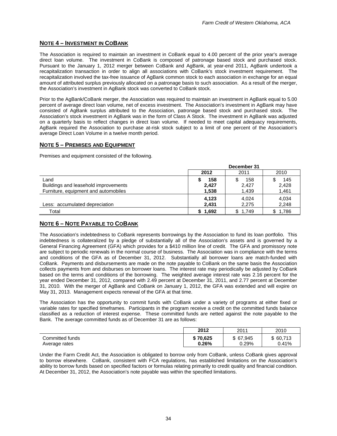# **NOTE 4 – INVESTMENT IN COBANK**

The Association is required to maintain an investment in CoBank equal to 4.00 percent of the prior year's average direct loan volume. The investment in CoBank is composed of patronage based stock and purchased stock. Pursuant to the January 1, 2012 merger between CoBank and AgBank, at year-end 2011, AgBank undertook a recapitalization transaction in order to align all associations with CoBank's stock investment requirement. The recapitalization involved the tax-free issuance of AgBank common stock to each association in exchange for an equal amount of attributed surplus previously allocated on a patronage basis to such association. As a result of the merger, the Association's investment in AgBank stock was converted to CoBank stock.

Prior to the AgBank/CoBank merger, the Association was required to maintain an investment in AgBank equal to 5.00 percent of average direct loan volume, net of excess investment. The Association's investment in AgBank may have consisted of AgBank surplus attributed to the Association, patronage based stock and purchased stock. The Association's stock investment in AgBank was in the form of Class A Stock. The investment in AgBank was adjusted on a quarterly basis to reflect changes in direct loan volume. If needed to meet capital adequacy requirements, AgBank required the Association to purchase at-risk stock subject to a limit of one percent of the Association's average Direct Loan Volume in a twelve month period.

## **NOTE 5 – PREMISES AND EQUIPMENT**

Premises and equipment consisted of the following.

|                                      | December 31 |       |       |  |  |  |  |
|--------------------------------------|-------------|-------|-------|--|--|--|--|
|                                      | 2012        | 2011  | 2010  |  |  |  |  |
| Land                                 | 158         | 158   | 145   |  |  |  |  |
| Buildings and leasehold improvements | 2.427       | 2,427 | 2,428 |  |  |  |  |
| Furniture, equipment and automobiles | 1,538       | 1,439 | 1,461 |  |  |  |  |
|                                      | 4,123       | 4,024 | 4.034 |  |  |  |  |
| Less: accumulated depreciation       | 2.431       | 2.275 | 2,248 |  |  |  |  |
| Total                                | \$1,692     | 1.749 | 1,786 |  |  |  |  |

# **NOTE 6 – NOTE PAYABLE TO COBANK**

The Association's indebtedness to CoBank represents borrowings by the Association to fund its loan portfolio. This indebtedness is collateralized by a pledge of substantially all of the Association's assets and is governed by a General Financing Agreement (GFA) which provides for a \$410 million line of credit. The GFA and promissory note are subject to periodic renewals in the normal course of business. The Association was in compliance with the terms and conditions of the GFA as of December 31, 2012. Substantially all borrower loans are match-funded with CoBank. Payments and disbursements are made on the note payable to CoBank on the same basis the Association collects payments from and disburses on borrower loans. The interest rate may periodically be adjusted by CoBank based on the terms and conditions of the borrowing. The weighted average interest rate was 2.16 percent for the year ended December 31, 2012, compared with 2.49 percent at December 31, 2011, and 2.77 percent at December 31, 2010. With the merger of AgBank and CoBank on January 1, 2012, the GFA was extended and will expire on May 31, 2013. Management expects renewal of the GFA at that time.

The Association has the opportunity to commit funds with CoBank under a variety of programs at either fixed or variable rates for specified timeframes. Participants in the program receive a credit on the committed funds balance classified as a reduction of interest expense. These committed funds are netted against the note payable to the Bank. The average committed funds as of December 31 are as follows:

|                 | 2012     | 2011      | 2010     |
|-----------------|----------|-----------|----------|
| Committed funds | \$70,625 | \$ 67,945 | \$60,713 |
| Average rates   | 0.26%    | 0.29%     | 0.41%    |

Under the Farm Credit Act, the Association is obligated to borrow only from CoBank, unless CoBank gives approval to borrow elsewhere. CoBank, consistent with FCA regulations, has established limitations on the Association's ability to borrow funds based on specified factors or formulas relating primarily to credit quality and financial condition. At December 31, 2012, the Association's note payable was within the specified limitations.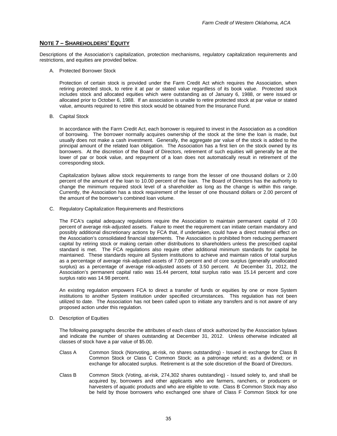# **NOTE 7 – SHAREHOLDERS' EQUITY**

Descriptions of the Association's capitalization, protection mechanisms, regulatory capitalization requirements and restrictions, and equities are provided below.

A. Protected Borrower Stock

Protection of certain stock is provided under the Farm Credit Act which requires the Association, when retiring protected stock, to retire it at par or stated value regardless of its book value. Protected stock includes stock and allocated equities which were outstanding as of January 6, 1988, or were issued or allocated prior to October 6, 1988. If an association is unable to retire protected stock at par value or stated value, amounts required to retire this stock would be obtained from the Insurance Fund.

B. Capital Stock

In accordance with the Farm Credit Act, each borrower is required to invest in the Association as a condition of borrowing. The borrower normally acquires ownership of the stock at the time the loan is made, but usually does not make a cash investment. Generally, the aggregate par value of the stock is added to the principal amount of the related loan obligation. The Association has a first lien on the stock owned by its borrowers. At the discretion of the Board of Directors, retirement of such equities will generally be at the lower of par or book value, and repayment of a loan does not automatically result in retirement of the corresponding stock.

Capitalization bylaws allow stock requirements to range from the lesser of one thousand dollars or 2.00 percent of the amount of the loan to 10.00 percent of the loan. The Board of Directors has the authority to change the minimum required stock level of a shareholder as long as the change is within this range. Currently, the Association has a stock requirement of the lesser of one thousand dollars or 2.00 percent of the amount of the borrower's combined loan volume.

C. Regulatory Capitalization Requirements and Restrictions

The FCA's capital adequacy regulations require the Association to maintain permanent capital of 7.00 percent of average risk-adjusted assets. Failure to meet the requirement can initiate certain mandatory and possibly additional discretionary actions by FCA that, if undertaken, could have a direct material effect on the Association's consolidated financial statements. The Association is prohibited from reducing permanent capital by retiring stock or making certain other distributions to shareholders unless the prescribed capital standard is met. The FCA regulations also require other additional minimum standards for capital be maintained. These standards require all System institutions to achieve and maintain ratios of total surplus as a percentage of average risk-adjusted assets of 7.00 percent and of core surplus (generally unallocated surplus) as a percentage of average risk-adjusted assets of 3.50 percent. At December 31, 2012, the Association's permanent capital ratio was 15.44 percent, total surplus ratio was 15.14 percent and core surplus ratio was 14.98 percent.

An existing regulation empowers FCA to direct a transfer of funds or equities by one or more System institutions to another System institution under specified circumstances. This regulation has not been utilized to date. The Association has not been called upon to initiate any transfers and is not aware of any proposed action under this regulation.

D. Description of Equities

The following paragraphs describe the attributes of each class of stock authorized by the Association bylaws and indicate the number of shares outstanding at December 31, 2012. Unless otherwise indicated all classes of stock have a par value of \$5.00.

- Class A Common Stock (Nonvoting, at-risk, no shares outstanding) Issued in exchange for Class B Common Stock or Class C Common Stock; as a patronage refund; as a dividend; or in exchange for allocated surplus. Retirement is at the sole discretion of the Board of Directors.
- Class B Common Stock (Voting, at-risk, 274,302 shares outstanding) Issued solely to, and shall be acquired by, borrowers and other applicants who are farmers, ranchers, or producers or harvesters of aquatic products and who are eligible to vote. Class B Common Stock may also be held by those borrowers who exchanged one share of Class F Common Stock for one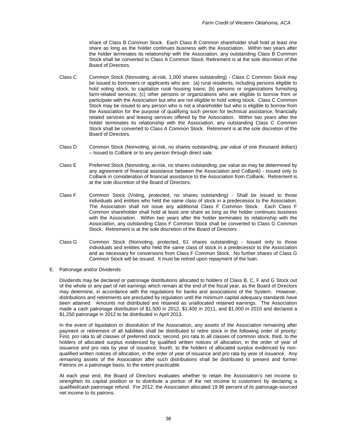share of Class B Common Stock. Each Class B Common shareholder shall hold at least one share as long as the holder continues business with the Association. Within two years after the holder terminates its relationship with the Association, any outstanding Class B Common Stock shall be converted to Class A Common Stock. Retirement is at the sole discretion of the Board of Directors.

- Class C Common Stock (Nonvoting, at-risk, 1,000 shares outstanding) Class C Common Stock may be issued to borrowers or applicants who are: (a) rural residents, including persons eligible to hold voting stock, to capitalize rural housing loans; (b) persons or organizations furnishing farm-related services; (c) other persons or organizations who are eligible to borrow from or participate with the Association but who are not eligible to hold voting stock. Class C Common Stock may be issued to any person who is not a shareholder but who is eligible to borrow from the Association for the purpose of qualifying such person for technical assistance, financially related services and leasing services offered by the Association. Within two years after the holder terminates its relationship with the Association, any outstanding Class C Common Stock shall be converted to Class A Common Stock. Retirement is at the sole discretion of the Board of Directors.
- Class D Common Stock (Nonvoting, at-risk, no shares outstanding, par value of one thousand dollars) – Issued to CoBank or to any person through direct sale.
- Class E Preferred Stock (Nonvoting, at-risk, no shares outstanding, par value as may be determined by any agreement of financial assistance between the Association and CoBank) - Issued only to CoBank in consideration of financial assistance to the Association from CoBank. Retirement is at the sole discretion of the Board of Directors.
- Class F Common Stock (Voting, protected, no shares outstanding) Shall be issued to those individuals and entities who held the same class of stock in a predecessor to the Association. The Association shall not issue any additional Class F Common Stock. Each Class F Common shareholder shall hold at least one share as long as the holder continues business with the Association. Within two years after the holder terminates its relationship with the Association, any outstanding Class F Common Stock shall be converted to Class G Common Stock. Retirement is at the sole discretion of the Board of Directors.
- Class G Common Stock (Nonvoting, protected, 61 shares outstanding) Issued only to those individuals and entities who held the same class of stock in a predecessor to the Association and as necessary for conversions from Class F Common Stock. No further shares of Class G Common Stock will be issued. It must be retired upon repayment of the loan.
- E. Patronage and/or Dividends

Dividends may be declared or patronage distributions allocated to holders of Class B, C, F and G Stock out of the whole or any part of net earnings which remain at the end of the fiscal year, as the Board of Directors may determine, in accordance with the regulations for banks and associations of the System. However, distributions and retirements are precluded by regulation until the minimum capital adequacy standards have been attained. Amounts not distributed are retained as unallocated retained earnings. The Association made a cash patronage distribution of \$1,500 in 2012, \$1,400 in 2011, and \$1,000 in 2010 and declared a \$1,250 patronage in 2012 to be distributed in April 2013.

In the event of liquidation or dissolution of the Association, any assets of the Association remaining after payment or retirement of all liabilities shall be distributed to retire stock in the following order of priority: First, pro rata to all classes of preferred stock; second, pro rata to all classes of common stock; third, to the holders of allocated surplus evidenced by qualified written notices of allocation, in the order of year of issuance and pro rata by year of issuance; fourth, to the holders of allocated surplus evidenced by nonqualified written notices of allocation, in the order of year of issuance and pro rata by year of issuance. Any remaining assets of the Association after such distributions shall be distributed to present and former Patrons on a patronage basis, to the extent practicable.

At each year end, the Board of Directors evaluates whether to retain the Association's net income to strengthen its capital position or to distribute a portion of the net income to customers by declaring a qualified/cash patronage refund. For 2012, the Association allocated 19.96 percent of its patronage-sourced net income to its patrons.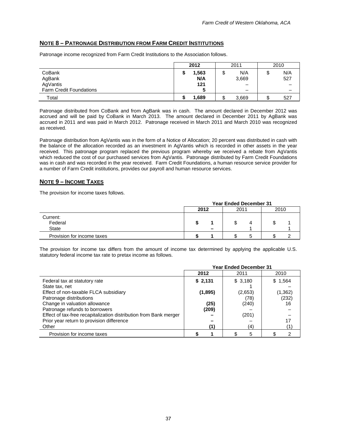# **NOTE 8 – PATRONAGE DISTRIBUTION FROM FARM CREDIT INSTITUTIONS**

Patronage income recognized from Farm Credit Institutions to the Association follows.

|                                            | 2012        |    | 2011         | 2010 |            |
|--------------------------------------------|-------------|----|--------------|------|------------|
| CoBank<br>AgBank                           | .563<br>N/A | ง  | N/A<br>3,669 | J    | N/A<br>527 |
| AgVantis<br><b>Farm Credit Foundations</b> | 121         |    | -<br>-       |      |            |
| Total                                      | .689        | ۰D | 3,669        |      | 527        |

Patronage distributed from CoBank and from AgBank was in cash. The amount declared in December 2012 was accrued and will be paid by CoBank in March 2013. The amount declared in December 2011 by AgBank was accrued in 2011 and was paid in March 2012. Patronage received in March 2011 and March 2010 was recognized as received.

Patronage distribution from AgVantis was in the form of a Notice of Allocation; 20 percent was distributed in cash with the balance of the allocation recorded as an investment in AgVantis which is recorded in other assets in the year received. This patronage program replaced the previous program whereby we received a rebate from AgVantis which reduced the cost of our purchased services from AgVantis. Patronage distributed by Farm Credit Foundations was in cash and was recorded in the year received. Farm Credit Foundations, a human resource service provider for a number of Farm Credit institutions, provides our payroll and human resource services.

# **NOTE 9 – INCOME TAXES**

The provision for income taxes follows.

|                            | <b>Year Ended December 31</b> |                          |      |  |      |  |  |  |
|----------------------------|-------------------------------|--------------------------|------|--|------|--|--|--|
|                            | 2012                          |                          | 2011 |  | 2010 |  |  |  |
| Current:                   |                               |                          |      |  |      |  |  |  |
| Federal                    |                               |                          |      |  |      |  |  |  |
| <b>State</b>               |                               | $\overline{\phantom{0}}$ |      |  |      |  |  |  |
| Provision for income taxes |                               |                          |      |  |      |  |  |  |

The provision for income tax differs from the amount of income tax determined by applying the applicable U.S. statutory federal income tax rate to pretax income as follows.

|                                                                   | <b>Year Ended December 31</b> |         |         |  |  |  |  |
|-------------------------------------------------------------------|-------------------------------|---------|---------|--|--|--|--|
|                                                                   | 2012                          | 2011    | 2010    |  |  |  |  |
| Federal tax at statutory rate                                     | \$2,131                       | \$3,180 | \$1,564 |  |  |  |  |
| State tax, net                                                    |                               |         |         |  |  |  |  |
| Effect of non-taxable FLCA subsidiary                             | (1,895)                       | (2,653) | (1,362) |  |  |  |  |
| Patronage distributions                                           |                               | (78)    | (232)   |  |  |  |  |
| Change in valuation allowance                                     | (25)                          | (240)   | 16      |  |  |  |  |
| Patronage refunds to borrowers                                    | (209)                         |         |         |  |  |  |  |
| Effect of tax-free recapitalization distribution from Bank merger |                               | (201)   |         |  |  |  |  |
| Prior year return to provision difference                         |                               |         |         |  |  |  |  |
| Other                                                             |                               | (4)     |         |  |  |  |  |
| Provision for income taxes                                        |                               | 5       |         |  |  |  |  |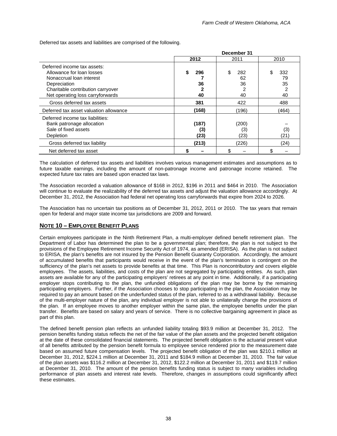Deferred tax assets and liabilities are comprised of the following.

|                                                                                                                                                                               | December 31          |                             |                             |  |  |  |  |  |
|-------------------------------------------------------------------------------------------------------------------------------------------------------------------------------|----------------------|-----------------------------|-----------------------------|--|--|--|--|--|
|                                                                                                                                                                               | 2012                 | 2011                        | 2010                        |  |  |  |  |  |
| Deferred income tax assets:<br>Allowance for loan losses<br>Nonaccrual loan interest<br>Depreciation<br>Charitable contribution carryover<br>Net operating loss carryforwards | 296<br>S<br>36<br>40 | \$<br>282<br>62<br>36<br>40 | \$<br>332<br>79<br>35<br>40 |  |  |  |  |  |
| Gross deferred tax assets                                                                                                                                                     | 381                  | 422                         | 488                         |  |  |  |  |  |
| Deferred tax asset valuation allowance                                                                                                                                        | (168)                | (196)                       | (464)                       |  |  |  |  |  |
| Deferred income tax liabilities:<br>Bank patronage allocation<br>Sale of fixed assets<br>Depletion                                                                            | (187)<br>(3)<br>(23) | (200)<br>(3)<br>(23)        | (3)<br>(21)                 |  |  |  |  |  |
| Gross deferred tax liability                                                                                                                                                  | (213)                | (226)                       | (24)                        |  |  |  |  |  |
| Net deferred tax asset                                                                                                                                                        |                      |                             |                             |  |  |  |  |  |

The calculation of deferred tax assets and liabilities involves various management estimates and assumptions as to future taxable earnings, including the amount of non-patronage income and patronage income retained. The expected future tax rates are based upon enacted tax laws.

The Association recorded a valuation allowance of \$168 in 2012, \$196 in 2011 and \$464 in 2010. The Association will continue to evaluate the realizability of the deferred tax assets and adjust the valuation allowance accordingly. At December 31, 2012, the Association had federal net operating loss carryforwards that expire from 2024 to 2026.

The Association has no uncertain tax positions as of December 31, 2012, 2011 or 2010. The tax years that remain open for federal and major state income tax jurisdictions are 2009 and forward.

# **NOTE 10 – EMPLOYEE BENEFIT PLANS**

Certain employees participate in the Ninth Retirement Plan, a multi-employer defined benefit retirement plan. The Department of Labor has determined the plan to be a governmental plan; therefore, the plan is not subject to the provisions of the Employee Retirement Income Security Act of 1974, as amended (ERISA). As the plan is not subject to ERISA, the plan's benefits are not insured by the Pension Benefit Guaranty Corporation. Accordingly, the amount of accumulated benefits that participants would receive in the event of the plan's termination is contingent on the sufficiency of the plan's net assets to provide benefits at that time. This Plan is noncontributory and covers eligible employees. The assets, liabilities, and costs of the plan are not segregated by participating entities. As such, plan assets are available for any of the participating employers' retirees at any point in time. Additionally, if a participating employer stops contributing to the plan, the unfunded obligations of the plan may be borne by the remaining participating employers. Further, if the Association chooses to stop participating in the plan, the Association may be required to pay an amount based on the underfunded status of the plan, referred to as a withdrawal liability. Because of the multi-employer nature of the plan, any individual employer is not able to unilaterally change the provisions of the plan. If an employee moves to another employer within the same plan, the employee benefits under the plan transfer. Benefits are based on salary and years of service. There is no collective bargaining agreement in place as part of this plan.

The defined benefit pension plan reflects an unfunded liability totaling \$93.9 million at December 31, 2012. The pension benefits funding status reflects the net of the fair value of the plan assets and the projected benefit obligation at the date of these consolidated financial statements. The projected benefit obligation is the actuarial present value of all benefits attributed by the pension benefit formula to employee service rendered prior to the measurement date based on assumed future compensation levels. The projected benefit obligation of the plan was \$210.1 million at December 31, 2012, \$224.1 million at December 31, 2011 and \$184.9 million at December 31, 2010. The fair value of the plan assets was \$116.2 million at December 31, 2012, \$122.2 million at December 31, 2011 and \$119.7 million at December 31, 2010. The amount of the pension benefits funding status is subject to many variables including performance of plan assets and interest rate levels. Therefore, changes in assumptions could significantly affect these estimates.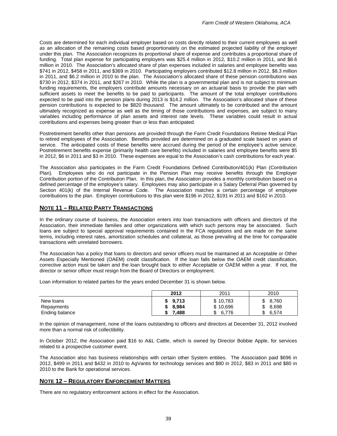Costs are determined for each individual employer based on costs directly related to their current employees as well as an allocation of the remaining costs based proportionately on the estimated projected liability of the employer under this plan. The Association recognizes its proportional share of expense and contributes a proportional share of funding. Total plan expense for participating employers was \$25.4 million in 2012, \$10.2 million in 2011, and \$8.6 million in 2010. The Association's allocated share of plan expenses included in salaries and employee benefits was \$741 in 2012, \$458 in 2011, and \$369 in 2010. Participating employers contributed \$12.8 million in 2012, \$8.3 million in 2011, and \$6.2 million in 2010 to the plan. The Association's allocated share of these pension contributions was \$730 in 2012, \$374 in 2011, and \$267 in 2010. While the plan is a governmental plan and is not subject to minimum funding requirements, the employers contribute amounts necessary on an actuarial basis to provide the plan with sufficient assets to meet the benefits to be paid to participants. The amount of the total employer contributions expected to be paid into the pension plans during 2013 is \$14.2 million. The Association's allocated share of these pension contributions is expected to be \$820 thousand. The amount ultimately to be contributed and the amount ultimately recognized as expense as well as the timing of those contributions and expenses, are subject to many variables including performance of plan assets and interest rate levels. These variables could result in actual contributions and expenses being greater than or less than anticipated.

Postretirement benefits other than pensions are provided through the Farm Credit Foundations Retiree Medical Plan to retired employees of the Association. Benefits provided are determined on a graduated scale based on years of service. The anticipated costs of these benefits were accrued during the period of the employee's active service. Postretirement benefits expense (primarily health care benefits) included in salaries and employee benefits were \$5 in 2012, \$6 in 2011 and \$3 in 2010. These expenses are equal to the Association's cash contributions for each year.

The Association also participates in the Farm Credit Foundations Defined Contribution/401(k) Plan (Contribution Plan). Employees who do not participate in the Pension Plan may receive benefits through the Employer Contribution portion of the Contribution Plan. In this plan, the Association provides a monthly contribution based on a defined percentage of the employee's salary. Employees may also participate in a Salary Deferral Plan governed by Section 401(k) of the Internal Revenue Code. The Association matches a certain percentage of employee contributions to the plan. Employer contributions to this plan were \$196 in 2012, \$191 in 2011 and \$162 in 2010.

# **NOTE 11 – RELATED PARTY TRANSACTIONS**

In the ordinary course of business, the Association enters into loan transactions with officers and directors of the Association, their immediate families and other organizations with which such persons may be associated. Such loans are subject to special approval requirements contained in the FCA regulations and are made on the same terms, including interest rates, amortization schedules and collateral, as those prevailing at the time for comparable transactions with unrelated borrowers.

The Association has a policy that loans to directors and senior officers must be maintained at an Acceptable or Other Assets Especially Mentioned (OAEM) credit classification. If the loan falls below the OAEM credit classification, corrective action must be taken and the loan brought back to either Acceptable or OAEM within a year. If not, the director or senior officer must resign from the Board of Directors or employment.

Loan information to related parties for the years ended December 31 is shown below.

|                | 2012  | 2011     | 2010  |
|----------------|-------|----------|-------|
| New loans      | 9.713 | \$10,783 | 8,760 |
| Repayments     | 8.984 | \$10,696 | 8,698 |
| Ending balance | .488  | 6.776    | 6.574 |

In the opinion of management, none of the loans outstanding to officers and directors at December 31, 2012 involved more than a normal risk of collectibility.

In October 2012, the Association paid \$16 to A&L Cattle, which is owned by Director Bobbie Apple, for services related to a prospective customer event.

The Association also has business relationships with certain other System entities. The Association paid \$696 in 2012, \$499 in 2011 and \$432 in 2010 to AgVantis for technology services and \$80 in 2012, \$83 in 2011 and \$80 in 2010 to the Bank for operational services.

## **NOTE 12 – REGULATORY ENFORCEMENT MATTERS**

There are no regulatory enforcement actions in effect for the Association.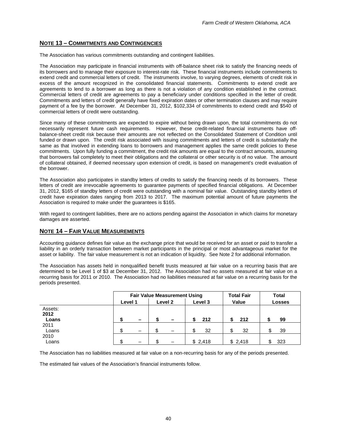# **NOTE 13 – COMMITMENTS AND CONTINGENCIES**

The Association has various commitments outstanding and contingent liabilities.

The Association may participate in financial instruments with off-balance sheet risk to satisfy the financing needs of its borrowers and to manage their exposure to interest-rate risk. These financial instruments include commitments to extend credit and commercial letters of credit. The instruments involve, to varying degrees, elements of credit risk in excess of the amount recognized in the consolidated financial statements. Commitments to extend credit are agreements to lend to a borrower as long as there is not a violation of any condition established in the contract. Commercial letters of credit are agreements to pay a beneficiary under conditions specified in the letter of credit. Commitments and letters of credit generally have fixed expiration dates or other termination clauses and may require payment of a fee by the borrower. At December 31, 2012, \$102,334 of commitments to extend credit and \$540 of commercial letters of credit were outstanding.

Since many of these commitments are expected to expire without being drawn upon, the total commitments do not necessarily represent future cash requirements. However, these credit-related financial instruments have offbalance-sheet credit risk because their amounts are not reflected on the Consolidated Statement of Condition until funded or drawn upon. The credit risk associated with issuing commitments and letters of credit is substantially the same as that involved in extending loans to borrowers and management applies the same credit policies to these commitments. Upon fully funding a commitment, the credit risk amounts are equal to the contract amounts, assuming that borrowers fail completely to meet their obligations and the collateral or other security is of no value. The amount of collateral obtained, if deemed necessary upon extension of credit, is based on management's credit evaluation of the borrower.

The Association also participates in standby letters of credits to satisfy the financing needs of its borrowers. These letters of credit are irrevocable agreements to guarantee payments of specified financial obligations. At December 31, 2012, \$165 of standby letters of credit were outstanding with a nominal fair value. Outstanding standby letters of credit have expiration dates ranging from 2013 to 2017. The maximum potential amount of future payments the Association is required to make under the guarantees is \$165.

With regard to contingent liabilities, there are no actions pending against the Association in which claims for monetary damages are asserted.

# **NOTE 14 – FAIR VALUE MEASUREMENTS**

Accounting guidance defines fair value as the exchange price that would be received for an asset or paid to transfer a liability in an orderly transaction between market participants in the principal or most advantageous market for the asset or liability. The fair value measurement is not an indication of liquidity. See Note 2 for additional information.

The Association has assets held in nonqualified benefit trusts measured at fair value on a recurring basis that are determined to be Level 1 of \$3 at December 31, 2012. The Association had no assets measured at fair value on a recurring basis for 2011 or 2010. The Association had no liabilities measured at fair value on a recurring basis for the periods presented.

|                          | Level 1 | <b>Fair Value Measurement Using</b> | Level 2 | <b>Total Fair</b><br>Value | <b>Total</b><br><b>Losses</b> |         |     |
|--------------------------|---------|-------------------------------------|---------|----------------------------|-------------------------------|---------|-----|
| Assets:<br>2012<br>Loans |         | $\qquad \qquad \blacksquare$        |         | $\qquad \qquad$            | 212                           | 212     | 99  |
| 2011<br>Loans            |         | $\overline{\phantom{0}}$            |         | -                          | 32<br>S                       | 32      | 39  |
| 2010<br>Loans            | \$      | $\overline{\phantom{0}}$            | \$      | -                          | \$2,418                       | \$2,418 | 323 |

The Association has no liabilities measured at fair value on a non-recurring basis for any of the periods presented.

The estimated fair values of the Association's financial instruments follow.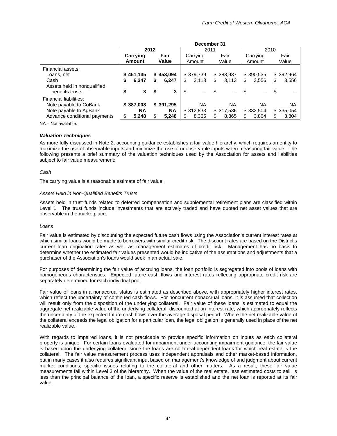|                              | December 31      |           |      |           |                  |       |          |           |    |           |    |           |
|------------------------------|------------------|-----------|------|-----------|------------------|-------|----------|-----------|----|-----------|----|-----------|
|                              |                  |           | 2011 |           |                  |       | 2010     |           |    |           |    |           |
|                              | Fair<br>Carrying |           |      |           | Fair<br>Carrying |       | Carrying |           |    | Fair      |    |           |
|                              | Amount           |           |      | Value     | Amount           |       |          | Value     |    | Amount    |    | Value     |
| Financial assets:            |                  |           |      |           |                  |       |          |           |    |           |    |           |
| Loans, net                   | \$451,135        |           |      | \$453,094 | \$379,739        |       |          | \$383,937 |    | \$390,535 |    | \$392,964 |
| Cash                         | \$<br>6,247      |           | S    | 6,247     | \$               | 3,113 | \$       | 3,113     | \$ | 3,556     | \$ | 3,556     |
| Assets held in nonqualified  |                  |           |      |           |                  |       |          |           |    |           |    |           |
| benefits trusts              | \$               | 3         | \$   | 3         | - \$             |       |          |           | \$ |           |    |           |
| Financial liabilities:       |                  |           |      |           |                  |       |          |           |    |           |    |           |
| Note payable to CoBank       | \$387,008        |           |      | \$391,295 |                  | ΝA    |          | NA        |    | <b>NA</b> |    | ΝA        |
| Note payable to AgBank       |                  | <b>NA</b> |      | <b>NA</b> | \$312,833        |       |          | \$317.536 |    | \$332,504 |    | \$335,054 |
| Advance conditional payments | \$               | 5,248     |      | 5,248     |                  | 8,365 | \$       | 8,365     |    | 3,804     |    | 3,804     |

NA – Not available.

#### *Valuation Techniques*

As more fully discussed in Note 2, accounting guidance establishes a fair value hierarchy, which requires an entity to maximize the use of observable inputs and minimize the use of unobservable inputs when measuring fair value. The following presents a brief summary of the valuation techniques used by the Association for assets and liabilities subject to fair value measurement:

#### *Cash*

The carrying value is a reasonable estimate of fair value.

#### *Assets Held in Non-Qualified Benefits Trusts*

Assets held in trust funds related to deferred compensation and supplemental retirement plans are classified within Level 1. The trust funds include investments that are actively traded and have quoted net asset values that are observable in the marketplace.

#### *Loans*

Fair value is estimated by discounting the expected future cash flows using the Association's current interest rates at which similar loans would be made to borrowers with similar credit risk. The discount rates are based on the District's current loan origination rates as well as management estimates of credit risk. Management has no basis to determine whether the estimated fair values presented would be indicative of the assumptions and adjustments that a purchaser of the Association's loans would seek in an actual sale.

For purposes of determining the fair value of accruing loans, the loan portfolio is segregated into pools of loans with homogeneous characteristics. Expected future cash flows and interest rates reflecting appropriate credit risk are separately determined for each individual pool.

Fair value of loans in a nonaccrual status is estimated as described above, with appropriately higher interest rates, which reflect the uncertainty of continued cash flows. For noncurrent nonaccrual loans, it is assumed that collection will result only from the disposition of the underlying collateral. Fair value of these loans is estimated to equal the aggregate net realizable value of the underlying collateral, discounted at an interest rate, which appropriately reflects the uncertainty of the expected future cash flows over the average disposal period. Where the net realizable value of the collateral exceeds the legal obligation for a particular loan, the legal obligation is generally used in place of the net realizable value.

With regards to impaired loans, it is not practicable to provide specific information on inputs as each collateral property is unique. For certain loans evaluated for impairment under accounting impairment guidance, the fair value is based upon the underlying collateral since the loans are collateral-dependent loans for which real estate is the collateral. The fair value measurement process uses independent appraisals and other market-based information, but in many cases it also requires significant input based on management's knowledge of and judgment about current market conditions, specific issues relating to the collateral and other matters. As a result, these fair value measurements fall within Level 3 of the hierarchy. When the value of the real estate, less estimated costs to sell, is less than the principal balance of the loan, a specific reserve is established and the net loan is reported at its fair value.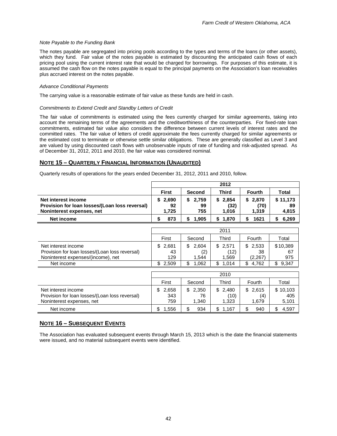### *Note Payable to the Funding Bank*

The notes payable are segregated into pricing pools according to the types and terms of the loans (or other assets), which they fund. Fair value of the notes payable is estimated by discounting the anticipated cash flows of each pricing pool using the current interest rate that would be charged for borrowings. For purposes of this estimate, it is assumed the cash flow on the notes payable is equal to the principal payments on the Association's loan receivables plus accrued interest on the notes payable.

### *Advance Conditional Payments*

The carrying value is a reasonable estimate of fair value as these funds are held in cash.

#### *Commitments to Extend Credit and Standby Letters of Credit*

The fair value of commitments is estimated using the fees currently charged for similar agreements, taking into account the remaining terms of the agreements and the creditworthiness of the counterparties. For fixed-rate loan commitments, estimated fair value also considers the difference between current levels of interest rates and the committed rates. The fair value of letters of credit approximate the fees currently charged for similar agreements or the estimated cost to terminate or otherwise settle similar obligations. These are generally classified as Level 3 and are valued by using discounted cash flows with unobservable inputs of rate of funding and risk-adjusted spread. As of December 31, 2012, 2011 and 2010, the fair value was considered nominal.

## **NOTE 15 – QUARTERLY FINANCIAL INFORMATION (UNAUDITED)**

Quarterly results of operations for the years ended December 31, 2012, 2011 and 2010, follow.

|                                                                                                                           | 2012                                    |                                            |                                         |                                         |                                      |  |  |
|---------------------------------------------------------------------------------------------------------------------------|-----------------------------------------|--------------------------------------------|-----------------------------------------|-----------------------------------------|--------------------------------------|--|--|
|                                                                                                                           | <b>First</b>                            | Second                                     | <b>Third</b>                            | <b>Fourth</b>                           | Total                                |  |  |
| Net interest income<br>Provision for Ioan Iosses/(Loan Ioss reversal)<br>Noninterest expenses, net                        | 2.690<br>S<br>92<br>1,725               | 2,759<br>S.<br>99<br>755                   | 2,854<br>\$<br>(32)<br>1,016            | 2,870<br>\$<br>(70)<br>1,319            | \$11,173<br>89<br>4,815              |  |  |
| <b>Net income</b>                                                                                                         | \$<br>873                               | \$<br>1,905                                | 1,870<br>\$                             | \$<br>1621                              | \$<br>6,269                          |  |  |
|                                                                                                                           |                                         |                                            | 2011                                    |                                         |                                      |  |  |
|                                                                                                                           | First                                   | Second                                     | Third                                   | Fourth                                  | Total                                |  |  |
| Net interest income<br>Provision for loan losses/(Loan loss reversal)<br>Noninterest expenses/(income), net<br>Net income | \$<br>2,681<br>43<br>129<br>\$<br>2,509 | \$<br>2,604<br>(2)<br>1,544<br>\$<br>1,062 | \$2,571<br>(12)<br>1,569<br>\$<br>1,014 | \$2,533<br>38<br>(2,267)<br>\$<br>4,762 | \$10,389<br>67<br>975<br>\$<br>9,347 |  |  |
|                                                                                                                           |                                         |                                            | 2010                                    |                                         |                                      |  |  |
|                                                                                                                           | First                                   | Second                                     | Third                                   | Fourth                                  | Total                                |  |  |
| Net interest income<br>Provision for loan losses/(Loan loss reversal)<br>Noninterest expenses, net                        | \$<br>2,658<br>343<br>759               | 2,350<br>\$<br>76<br>1,340                 | \$<br>2,480<br>(10)<br>1,323            | \$2,615<br>(4)<br>1,679                 | \$10,103<br>405<br>5,101             |  |  |
| Net income                                                                                                                | \$<br>1,556                             | \$<br>934                                  | \$<br>1,167                             | \$<br>940                               | \$<br>4,597                          |  |  |

## **NOTE 16 – SUBSEQUENT EVENTS**

The Association has evaluated subsequent events through March 15, 2013 which is the date the financial statements were issued, and no material subsequent events were identified.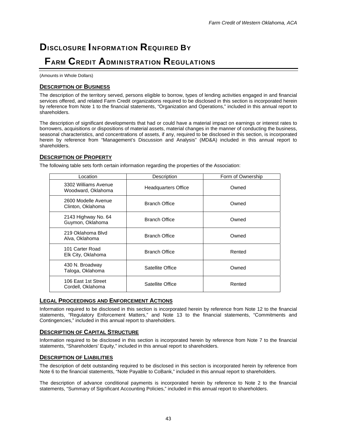# **DISCLOSURE INFORMATION REQUIRED BY** FARM CREDIT ADMINISTRATION REGULATIONS

(Amounts in Whole Dollars)

# **DESCRIPTION OF BUSINESS**

The description of the territory served, persons eligible to borrow, types of lending activities engaged in and financial services offered, and related Farm Credit organizations required to be disclosed in this section is incorporated herein by reference from Note 1 to the financial statements, "Organization and Operations," included in this annual report to shareholders.

The description of significant developments that had or could have a material impact on earnings or interest rates to borrowers, acquisitions or dispositions of material assets, material changes in the manner of conducting the business, seasonal characteristics, and concentrations of assets, if any, required to be disclosed in this section, is incorporated herein by reference from "Management's Discussion and Analysis" (MD&A) included in this annual report to shareholders.

# **DESCRIPTION OF PROPERTY**

The following table sets forth certain information regarding the properties of the Association:

| Location                                   | Description                | Form of Ownership |
|--------------------------------------------|----------------------------|-------------------|
| 3302 Williams Avenue<br>Woodward, Oklahoma | <b>Headquarters Office</b> | Owned             |
| 2600 Modelle Avenue<br>Clinton, Oklahoma   | <b>Branch Office</b>       | Owned             |
| 2143 Highway No. 64<br>Guymon, Oklahoma    | <b>Branch Office</b>       | Owned             |
| 219 Oklahoma Blvd<br>Alva, Oklahoma        | <b>Branch Office</b>       | Owned             |
| 101 Carter Road<br>Elk City, Oklahoma      | <b>Branch Office</b>       | Rented            |
| 430 N. Broadway<br>Taloga, Oklahoma        | Satellite Office           | Owned             |
| 106 East 1st Street<br>Cordell, Oklahoma   | Satellite Office           | Rented            |

## **LEGAL PROCEEDINGS AND ENFORCEMENT ACTIONS**

Information required to be disclosed in this section is incorporated herein by reference from Note 12 to the financial statements, "Regulatory Enforcement Matters," and Note 13 to the financial statements, "Commitments and Contingencies," included in this annual report to shareholders.

## **DESCRIPTION OF CAPITAL STRUCTURE**

Information required to be disclosed in this section is incorporated herein by reference from Note 7 to the financial statements, "Shareholders' Equity," included in this annual report to shareholders.

### **DESCRIPTION OF LIABILITIES**

The description of debt outstanding required to be disclosed in this section is incorporated herein by reference from Note 6 to the financial statements, "Note Payable to CoBank," included in this annual report to shareholders.

The description of advance conditional payments is incorporated herein by reference to Note 2 to the financial statements, "Summary of Significant Accounting Policies," included in this annual report to shareholders.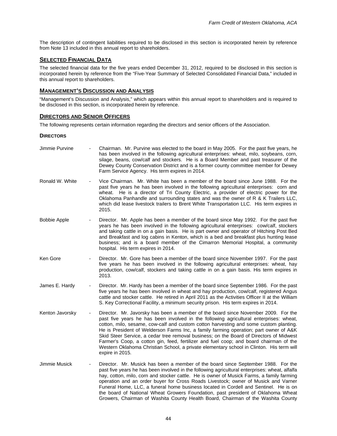The description of contingent liabilities required to be disclosed in this section is incorporated herein by reference from Note 13 included in this annual report to shareholders.

# **SELECTED FINANCIAL DATA**

The selected financial data for the five years ended December 31, 2012, required to be disclosed in this section is incorporated herein by reference from the "Five-Year Summary of Selected Consolidated Financial Data," included in this annual report to shareholders.

# **MANAGEMENT'S DISCUSSION AND ANALYSIS**

"Management's Discussion and Analysis," which appears within this annual report to shareholders and is required to be disclosed in this section, is incorporated herein by reference.

## **DIRECTORS AND SENIOR OFFICERS**

The following represents certain information regarding the directors and senior officers of the Association.

### **DIRECTORS**

| Jimmie Purvine      | Chairman. Mr. Purvine was elected to the board in May 2005. For the past five years, he<br>has been involved in the following agricultural enterprises: wheat, milo, soybeans, corn,<br>silage, beans, cow/calf and stockers. He is a Board Member and past treasurer of the<br>Dewey County Conservation District and is a former county committee member for Dewey<br>Farm Service Agency. His term expires in 2014.                                                                                                                                                                                                                                             |
|---------------------|--------------------------------------------------------------------------------------------------------------------------------------------------------------------------------------------------------------------------------------------------------------------------------------------------------------------------------------------------------------------------------------------------------------------------------------------------------------------------------------------------------------------------------------------------------------------------------------------------------------------------------------------------------------------|
| Ronald W. White     | Vice Chairman. Mr. White has been a member of the board since June 1988. For the<br>past five years he has been involved in the following agricultural enterprises: corn and<br>wheat. He is a director of Tri County Electric, a provider of electric power for the<br>Oklahoma Panhandle and surrounding states and was the owner of R & K Trailers LLC,<br>which did lease livestock trailers to Brent White Transportation LLC. His term expires in<br>2015.                                                                                                                                                                                                   |
| <b>Bobbie Apple</b> | Director. Mr. Apple has been a member of the board since May 1992. For the past five<br>years he has been involved in the following agricultural enterprises: cow/calf, stockers<br>and taking cattle in on a gain basis. He is part owner and operator of Hitching Post Bed<br>and Breakfast and log cabins in Kenton, which is a bed and breakfast plus hunting lease<br>business; and is a board member of the Cimarron Memorial Hospital, a community<br>hospital. His term expires in 2014.                                                                                                                                                                   |
| Ken Gore            | Director. Mr. Gore has been a member of the board since November 1997. For the past<br>five years he has been involved in the following agricultural enterprises: wheat, hay<br>production, cow/calf, stockers and taking cattle in on a gain basis. His term expires in<br>2013.                                                                                                                                                                                                                                                                                                                                                                                  |
| James E. Hardy      | Director. Mr. Hardy has been a member of the board since September 1986. For the past<br>five years he has been involved in wheat and hay production, cow/calf, registered Angus<br>cattle and stocker cattle. He retired in April 2011 as the Activities Officer II at the William<br>S. Key Correctional Facility, a minimum security prison. His term expires in 2014.                                                                                                                                                                                                                                                                                          |
| Kenton Javorsky     | Director. Mr. Javorsky has been a member of the board since November 2009. For the<br>past five years he has been involved in the following agricultural enterprises: wheat,<br>cotton, milo, sesame, cow-calf and custom cotton harvesting and some custom planting.<br>He is President of Welderson Farms Inc, a family farming operation; part owner of A&K<br>Skid Steer Service, a cedar tree removal business; on the Board of Directors of Midwest<br>Farmer's Coop, a cotton gin, feed, fertilizer and fuel coop; and board chairman of the<br>Western Oklahoma Christian School, a private elementary school in Clinton. His term will<br>expire in 2015. |
| Jimmie Musick       | Director. Mr. Musick has been a member of the board since September 1988. For the<br>past five years he has been involved in the following agricultural enterprises: wheat, alfalfa<br>hay, cotton, milo, corn and stocker cattle. He is owner of Musick Farms, a family farming<br>operation and an order buyer for Cross Roads Livestock; owner of Musick and Varner<br>Funeral Home, LLC, a funeral home business located in Cordell and Sentinel. He is on<br>the board of National Wheat Growers Foundation, past president of Oklahoma Wheat<br>Growers, Chairman of Washita County Health Board, Chairman of the Washita County                             |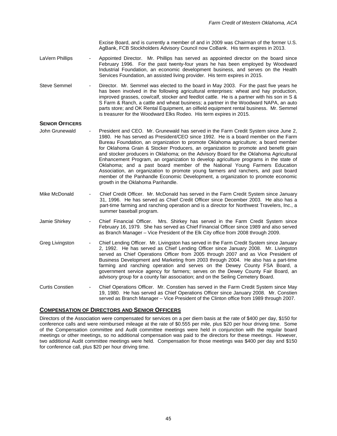Excise Board, and is currently a member of and in 2009 was Chairman of the former U.S. AgBank, FCB Stockholders Advisory Council now CoBank. His term expires in 2013.

- LaVern Phillips Appointed Director. Mr. Phillips has served as appointed director on the board since February 1996. For the past twenty-four years he has been employed by Woodward Industrial Foundation, an economic development business, and serves on the Health Services Foundation, an assisted living provider. His term expires in 2015.
- Steve Semmel Director. Mr. Semmel was elected to the board in May 2003. For the past five years he has been involved in the following agricultural enterprises: wheat and hay production, improved grasses, cow/calf, stocker and feedlot cattle. He is a partner with his son in S & S Farm & Ranch, a cattle and wheat business; a partner in the Woodward NAPA, an auto parts store; and OK Rental Equipment, an oilfield equipment rental business. Mr. Semmel is treasurer for the Woodward Elks Rodeo. His term expires in 2015.

### **SENIOR OFFICERS**

- John Grunewald President and CEO. Mr. Grunewald has served in the Farm Credit System since June 2, 1980. He has served as President/CEO since 1992. He is a board member on the Farm Bureau Foundation, an organization to promote Oklahoma agriculture; a board member for Oklahoma Grain & Stocker Producers, an organization to promote and benefit grain and stocker producers in Oklahoma; on the Advisory Board for the Oklahoma Agricultural Enhancement Program, an organization to develop agriculture programs in the state of Oklahoma; and a past board member of the National Young Farmers Education Association, an organization to promote young farmers and ranchers, and past board member of the Panhandle Economic Development, a organization to promote economic growth in the Oklahoma Panhandle.
- Mike McDonald Chief Credit Officer. Mr. McDonald has served in the Farm Credit System since January 31, 1996. He has served as Chief Credit Officer since December 2003. He also has a part-time farming and ranching operation and is a director for Northwest Travelers, Inc., a summer baseball program.
- Jamie Shirkey Chief Financial Officer. Mrs. Shirkey has served in the Farm Credit System since February 16, 1979. She has served as Chief Financial Officer since 1989 and also served as Branch Manager – Vice President of the Elk City office from 2008 through 2009.
- Greg Livingston Chief Lending Officer. Mr. Livingston has served in the Farm Credit System since January 2, 1992. He has served as Chief Lending Officer since January 2008. Mr. Livingston served as Chief Operations Officer from 2005 through 2007 and as Vice President of Business Development and Marketing from 2003 through 2004. He also has a part-time farming and ranching operation and serves on the Dewey County FSA Board, a government service agency for farmers; serves on the Dewey County Fair Board, an advisory group for a county fair association; and on the Seiling Cemetery Board.
- Curtis Constien Chief Operations Officer. Mr. Constien has served in the Farm Credit System since May 19, 1980. He has served as Chief Operations Officer since January 2008. Mr. Constien served as Branch Manager – Vice President of the Clinton office from 1989 through 2007.

## **COMPENSATION OF DIRECTORS AND SENIOR OFFICERS**

Directors of the Association were compensated for services on a per diem basis at the rate of \$400 per day, \$150 for conference calls and were reimbursed mileage at the rate of \$0.555 per mile, plus \$20 per hour driving time. Some of the Compensation committee and Audit committee meetings were held in conjunction with the regular board meetings or other meetings, so no additional compensation was paid to the directors for these meetings. However, two additional Audit committee meetings were held. Compensation for those meetings was \$400 per day and \$150 for conference call, plus \$20 per hour driving time.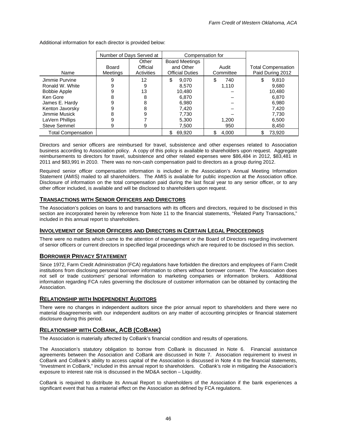|                           |          | Number of Days Served at | Compensation for       |             |                           |
|---------------------------|----------|--------------------------|------------------------|-------------|---------------------------|
|                           |          | Other                    | <b>Board Meetings</b>  |             |                           |
|                           | Board    | Official                 | and Other              | Audit       | <b>Total Compensation</b> |
| Name                      | Meetings | Activities               | <b>Official Duties</b> | Committee   | Paid During 2012          |
| Jimmie Purvine            | 9        | 12                       | \$<br>9.070            | \$<br>740   | \$<br>9.810               |
| Ronald W. White           | 9        | 9                        | 8.570                  | 1.110       | 9.680                     |
| <b>Bobbie Apple</b>       | 9        | 13                       | 10.480                 |             | 10,480                    |
| Ken Gore                  | 8        | 8                        | 6.870                  |             | 6,870                     |
| James E. Hardy            | 9        | 8                        | 6,980                  |             | 6,980                     |
| Kenton Javorsky           | 9        | 8                        | 7.420                  |             | 7,420                     |
| Jimmie Musick             | 8        | 9                        | 7,730                  |             | 7,730                     |
| LaVern Phillips           | 9        |                          | 5.300                  | 1,200       | 6,500                     |
| <b>Steve Semmel</b>       | 9        | 9                        | 7,500                  | 950         | 8,450                     |
| <b>Total Compensation</b> |          |                          | 69.920                 | \$<br>4.000 | \$<br>73.920              |

Additional information for each director is provided below:

Directors and senior officers are reimbursed for travel, subsistence and other expenses related to Association business according to Association policy. A copy of this policy is available to shareholders upon request. Aggregate reimbursements to directors for travel, subsistence and other related expenses were \$86,484 in 2012, \$83,481 in 2011 and \$83,991 in 2010. There was no non-cash compensation paid to directors as a group during 2012.

Required senior officer compensation information is included in the Association's Annual Meeting Information Statement (AMIS) mailed to all shareholders. The AMIS is available for public inspection at the Association office. Disclosure of information on the total compensation paid during the last fiscal year to any senior officer, or to any other officer included, is available and will be disclosed to shareholders upon request.

# **TRANSACTIONS WITH SENIOR OFFICERS AND DIRECTORS**

The Association's policies on loans to and transactions with its officers and directors, required to be disclosed in this section are incorporated herein by reference from Note 11 to the financial statements, "Related Party Transactions," included in this annual report to shareholders.

## **INVOLVEMENT OF SENIOR OFFICERS AND DIRECTORS IN CERTAIN LEGAL PROCEEDINGS**

There were no matters which came to the attention of management or the Board of Directors regarding involvement of senior officers or current directors in specified legal proceedings which are required to be disclosed in this section.

## **BORROWER PRIVACY STATEMENT**

Since 1972, Farm Credit Administration (FCA) regulations have forbidden the directors and employees of Farm Credit institutions from disclosing personal borrower information to others without borrower consent. The Association does not sell or trade customers' personal information to marketing companies or information brokers. Additional information regarding FCA rules governing the disclosure of customer information can be obtained by contacting the Association.

## **RELATIONSHIP WITH INDEPENDENT AUDITORS**

There were no changes in independent auditors since the prior annual report to shareholders and there were no material disagreements with our independent auditors on any matter of accounting principles or financial statement disclosure during this period.

## **RELATIONSHIP WITH COBANK, ACB (COBANK)**

The Association is materially affected by CoBank's financial condition and results of operations.

The Association's statutory obligation to borrow from CoBank is discussed in Note 6. Financial assistance agreements between the Association and CoBank are discussed in Note 7. Association requirement to invest in CoBank and CoBank's ability to access capital of the Association is discussed in Note 4 to the financial statements, "Investment in CoBank," included in this annual report to shareholders. CoBank's role in mitigating the Association's exposure to interest rate risk is discussed in the MD&A section – Liquidity.

CoBank is required to distribute its Annual Report to shareholders of the Association if the bank experiences a significant event that has a material effect on the Association as defined by FCA regulations.